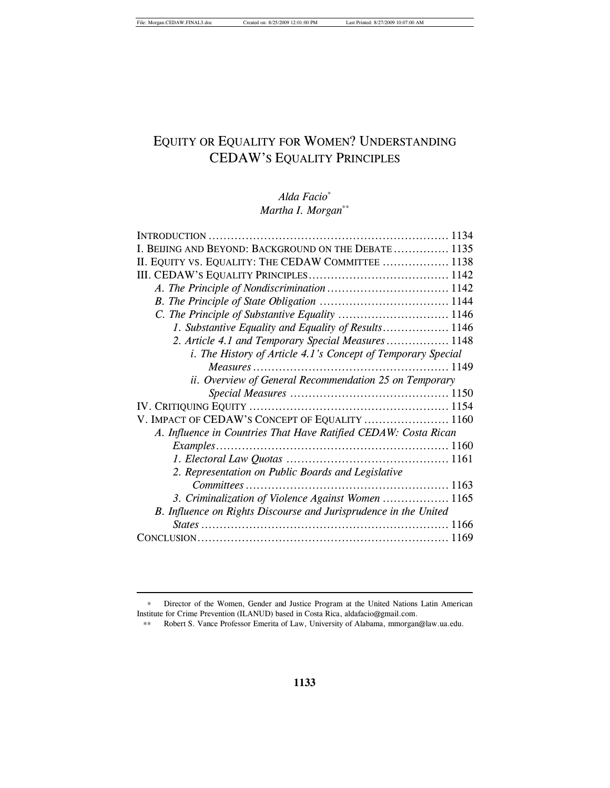# EQUITY OR EQUALITY FOR WOMEN? UNDERSTANDING CEDAW'S EQUALITY PRINCIPLES

# *Alda Facio*<sup>∗</sup> *Martha I. Morgan*∗∗

| I. BEIJING AND BEYOND: BACKGROUND ON THE DEBATE  1135               |  |
|---------------------------------------------------------------------|--|
| II. EQUITY VS. EQUALITY: THE CEDAW COMMITTEE  1138                  |  |
|                                                                     |  |
|                                                                     |  |
|                                                                     |  |
|                                                                     |  |
| 1. Substantive Equality and Equality of Results 1146                |  |
| 2. Article 4.1 and Temporary Special Measures 1148                  |  |
| <i>i. The History of Article 4.1's Concept of Temporary Special</i> |  |
|                                                                     |  |
| ii. Overview of General Recommendation 25 on Temporary              |  |
|                                                                     |  |
|                                                                     |  |
| V. IMPACT OF CEDAW'S CONCEPT OF EQUALITY  1160                      |  |
| A. Influence in Countries That Have Ratified CEDAW: Costa Rican     |  |
|                                                                     |  |
|                                                                     |  |
| 2. Representation on Public Boards and Legislative                  |  |
|                                                                     |  |
| 3. Criminalization of Violence Against Women  1165                  |  |
| B. Influence on Rights Discourse and Jurisprudence in the United    |  |
|                                                                     |  |
|                                                                     |  |
|                                                                     |  |

<sup>∗</sup> Director of the Women, Gender and Justice Program at the United Nations Latin American Institute for Crime Prevention (ILANUD) based in Costa Rica, aldafacio@gmail.com.

<sup>∗∗</sup> Robert S. Vance Professor Emerita of Law, University of Alabama, mmorgan@law.ua.edu.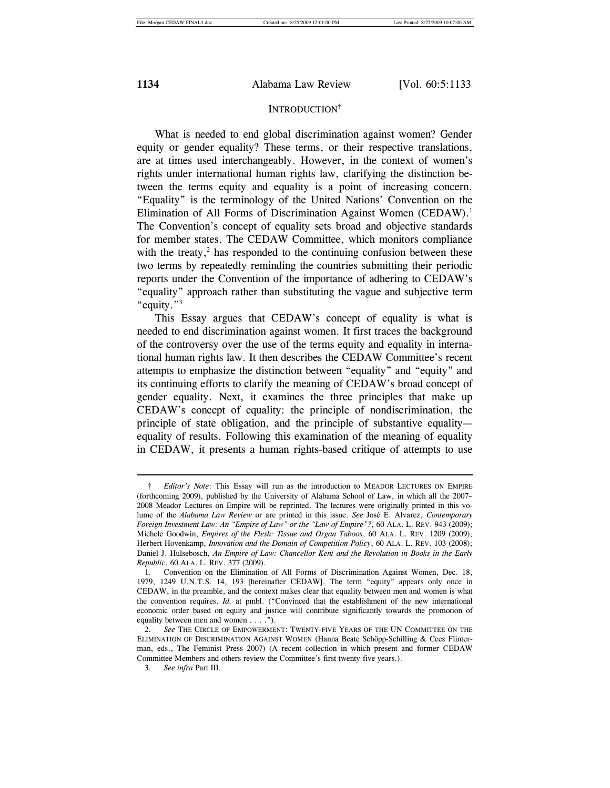# INTRODUCTION†

What is needed to end global discrimination against women? Gender equity or gender equality? These terms, or their respective translations, are at times used interchangeably. However, in the context of women's rights under international human rights law, clarifying the distinction between the terms equity and equality is a point of increasing concern. "Equality" is the terminology of the United Nations' Convention on the Elimination of All Forms of Discrimination Against Women (CEDAW).<sup>1</sup> The Convention's concept of equality sets broad and objective standards for member states. The CEDAW Committee, which monitors compliance with the treaty, $2$  has responded to the continuing confusion between these two terms by repeatedly reminding the countries submitting their periodic reports under the Convention of the importance of adhering to CEDAW's "equality" approach rather than substituting the vague and subjective term "equity."3

This Essay argues that CEDAW's concept of equality is what is needed to end discrimination against women. It first traces the background of the controversy over the use of the terms equity and equality in international human rights law. It then describes the CEDAW Committee's recent attempts to emphasize the distinction between "equality" and "equity" and its continuing efforts to clarify the meaning of CEDAW's broad concept of gender equality. Next, it examines the three principles that make up CEDAW's concept of equality: the principle of nondiscrimination, the principle of state obligation, and the principle of substantive equality equality of results. Following this examination of the meaning of equality in CEDAW, it presents a human rights-based critique of attempts to use

l

<sup>†</sup> *Editor's Note*: This Essay will run as the introduction to MEADOR LECTURES ON EMPIRE (forthcoming 2009), published by the University of Alabama School of Law, in which all the 2007– 2008 Meador Lectures on Empire will be reprinted. The lectures were originally printed in this volume of the *Alabama Law Review* or are printed in this issue. *See* José E. Alvarez, *Contemporary Foreign Investment Law: An "Empire of Law" or the "Law of Empire"?*, 60 ALA. L. REV. 943 (2009); Michele Goodwin, *Empires of the Flesh: Tissue and Organ Taboos*, 60 ALA. L. REV. 1209 (2009); Herbert Hovenkamp, *Innovation and the Domain of Competition Policy*, 60 ALA. L. REV. 103 (2008); Daniel J. Hulsebosch, *An Empire of Law: Chancellor Kent and the Revolution in Books in the Early Republic*, 60 ALA. L. REV. 377 (2009).

 <sup>1.</sup> Convention on the Elimination of All Forms of Discrimination Against Women, Dec. 18, 1979, 1249 U.N.T.S. 14, 193 [hereinafter CEDAW]. The term "equity" appears only once in CEDAW, in the preamble, and the context makes clear that equality between men and women is what the convention requires. *Id.* at pmbl. ("Convinced that the establishment of the new international economic order based on equity and justice will contribute significantly towards the promotion of equality between men and women . . . .").

 <sup>2</sup>*. See* THE CIRCLE OF EMPOWERMENT: TWENTY-FIVE YEARS OF THE UN COMMITTEE ON THE ELIMINATION OF DISCRIMINATION AGAINST WOMEN (Hanna Beate Schöpp-Schilling & Cees Flinterman, eds., The Feminist Press 2007) (A recent collection in which present and former CEDAW Committee Members and others review the Committee's first twenty-five years.).

 <sup>3</sup>*. See infra* Part III.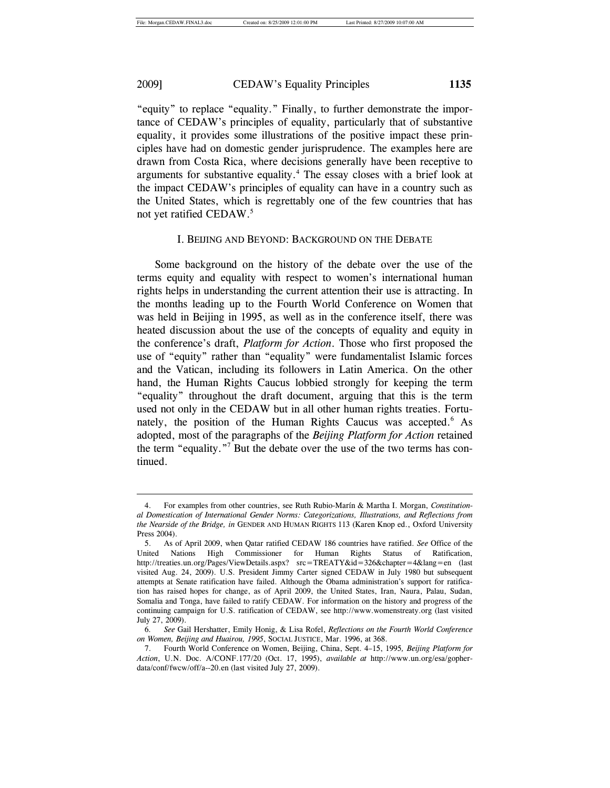# 2009] CEDAW's Equality Principles **1135**

"equity" to replace "equality." Finally, to further demonstrate the importance of CEDAW's principles of equality, particularly that of substantive equality, it provides some illustrations of the positive impact these principles have had on domestic gender jurisprudence. The examples here are drawn from Costa Rica, where decisions generally have been receptive to arguments for substantive equality.<sup>4</sup> The essay closes with a brief look at the impact CEDAW's principles of equality can have in a country such as the United States, which is regrettably one of the few countries that has not yet ratified CEDAW.5

# I. BEIJING AND BEYOND: BACKGROUND ON THE DEBATE

Some background on the history of the debate over the use of the terms equity and equality with respect to women's international human rights helps in understanding the current attention their use is attracting. In the months leading up to the Fourth World Conference on Women that was held in Beijing in 1995, as well as in the conference itself, there was heated discussion about the use of the concepts of equality and equity in the conference's draft, *Platform for Action*. Those who first proposed the use of "equity" rather than "equality" were fundamentalist Islamic forces and the Vatican, including its followers in Latin America. On the other hand, the Human Rights Caucus lobbied strongly for keeping the term "equality" throughout the draft document, arguing that this is the term used not only in the CEDAW but in all other human rights treaties. Fortunately, the position of the Human Rights Caucus was accepted.<sup>6</sup> As adopted, most of the paragraphs of the *Beijing Platform for Action* retained the term "equality."<sup>7</sup> But the debate over the use of the two terms has continued.

 <sup>4.</sup> For examples from other countries, see Ruth Rubio-Marín & Martha I. Morgan, *Constitutional Domestication of International Gender Norms: Categorizations, Illustrations, and Reflections from the Nearside of the Bridge, in* GENDER AND HUMAN RIGHTS 113 (Karen Knop ed., Oxford University Press 2004).

 <sup>5.</sup> As of April 2009, when Qatar ratified CEDAW 186 countries have ratified. *See* Office of the United Nations High Commissioner for Human Rights Status of Ratification, http://treaties.un.org/Pages/ViewDetails.aspx? src=TREATY&id=326&chapter=4&lang=en (last visited Aug. 24, 2009). U.S. President Jimmy Carter signed CEDAW in July 1980 but subsequent attempts at Senate ratification have failed. Although the Obama administration's support for ratification has raised hopes for change, as of April 2009, the United States, Iran, Naura, Palau, Sudan, Somalia and Tonga, have failed to ratify CEDAW. For information on the history and progress of the continuing campaign for U.S. ratification of CEDAW, see http://www.womenstreaty.org (last visited July 27, 2009).

 <sup>6</sup>*. See* Gail Hershatter, Emily Honig, & Lisa Rofel, *Reflections on the Fourth World Conference on Women, Beijing and Huairou, 1995*, SOCIAL JUSTICE, Mar. 1996, at 368.

 <sup>7.</sup> Fourth World Conference on Women, Beijing, China, Sept. 4–15, 1995*, Beijing Platform for Action*, U.N. Doc. A/CONF.177/20 (Oct. 17, 1995), *available at* http://www.un.org/esa/gopherdata/conf/fwcw/off/a--20.en (last visited July 27, 2009).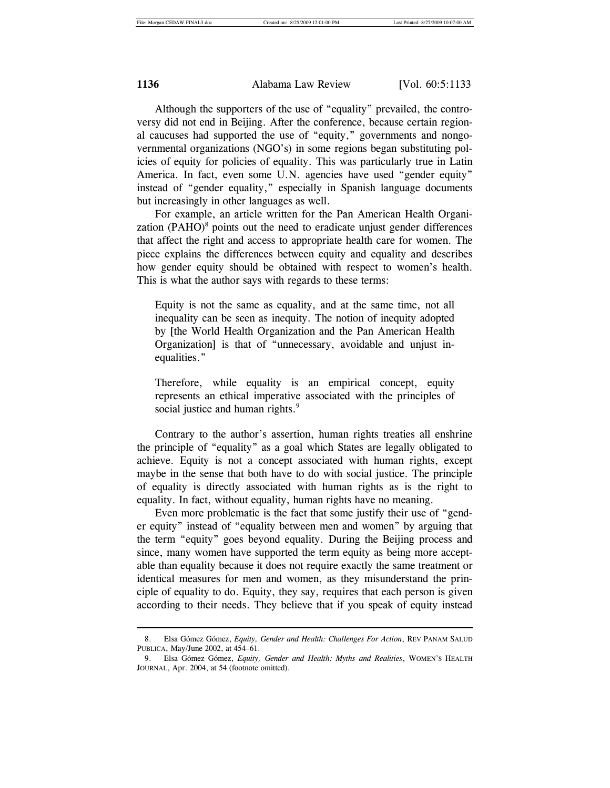### **1136** Alabama Law Review [Vol. 60:5:1133

Although the supporters of the use of "equality" prevailed, the controversy did not end in Beijing. After the conference, because certain regional caucuses had supported the use of "equity," governments and nongovernmental organizations (NGO's) in some regions began substituting policies of equity for policies of equality. This was particularly true in Latin America. In fact, even some U.N. agencies have used "gender equity" instead of "gender equality," especially in Spanish language documents but increasingly in other languages as well.

For example, an article written for the Pan American Health Organization  $(PAHO)^8$  points out the need to eradicate unjust gender differences that affect the right and access to appropriate health care for women. The piece explains the differences between equity and equality and describes how gender equity should be obtained with respect to women's health. This is what the author says with regards to these terms:

Equity is not the same as equality, and at the same time, not all inequality can be seen as inequity. The notion of inequity adopted by [the World Health Organization and the Pan American Health Organization] is that of "unnecessary, avoidable and unjust inequalities."

Therefore, while equality is an empirical concept, equity represents an ethical imperative associated with the principles of social justice and human rights.<sup>9</sup>

Contrary to the author's assertion, human rights treaties all enshrine the principle of "equality" as a goal which States are legally obligated to achieve. Equity is not a concept associated with human rights, except maybe in the sense that both have to do with social justice. The principle of equality is directly associated with human rights as is the right to equality. In fact, without equality, human rights have no meaning.

Even more problematic is the fact that some justify their use of "gender equity" instead of "equality between men and women" by arguing that the term "equity" goes beyond equality. During the Beijing process and since, many women have supported the term equity as being more acceptable than equality because it does not require exactly the same treatment or identical measures for men and women, as they misunderstand the principle of equality to do. Equity, they say, requires that each person is given according to their needs. They believe that if you speak of equity instead

 <sup>8.</sup> Elsa Gómez Gómez, *Equity, Gender and Health: Challenges For Action*, REV PANAM SALUD PUBLICA, May/June 2002, at 454–61.

 <sup>9.</sup> Elsa Gómez Gómez, *Equity, Gender and Health: Myths and Realities*, WOMEN'S HEALTH JOURNAL, Apr. 2004, at 54 (footnote omitted).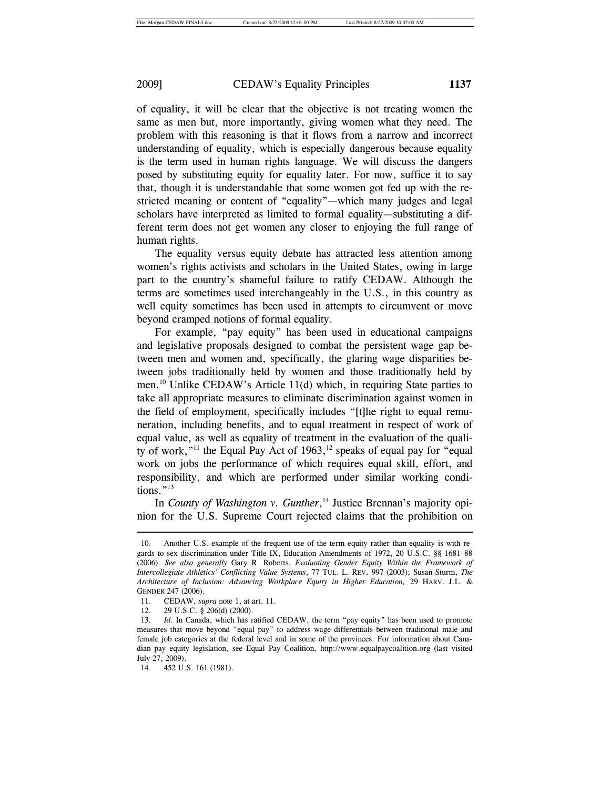of equality, it will be clear that the objective is not treating women the same as men but, more importantly, giving women what they need. The problem with this reasoning is that it flows from a narrow and incorrect understanding of equality, which is especially dangerous because equality is the term used in human rights language. We will discuss the dangers posed by substituting equity for equality later. For now, suffice it to say that, though it is understandable that some women got fed up with the restricted meaning or content of "equality"—which many judges and legal scholars have interpreted as limited to formal equality—substituting a different term does not get women any closer to enjoying the full range of human rights.

The equality versus equity debate has attracted less attention among women's rights activists and scholars in the United States, owing in large part to the country's shameful failure to ratify CEDAW. Although the terms are sometimes used interchangeably in the U.S., in this country as well equity sometimes has been used in attempts to circumvent or move beyond cramped notions of formal equality.

For example, "pay equity" has been used in educational campaigns and legislative proposals designed to combat the persistent wage gap between men and women and, specifically, the glaring wage disparities between jobs traditionally held by women and those traditionally held by men.10 Unlike CEDAW's Article 11(d) which, in requiring State parties to take all appropriate measures to eliminate discrimination against women in the field of employment, specifically includes "[t]he right to equal remuneration, including benefits, and to equal treatment in respect of work of equal value, as well as equality of treatment in the evaluation of the quality of work,"<sup>11</sup> the Equal Pay Act of  $1963$ ,<sup>12</sup> speaks of equal pay for "equal" work on jobs the performance of which requires equal skill, effort, and responsibility, and which are performed under similar working conditions." $^{13}$ 

In *County of Washington v. Gunther*, 14 Justice Brennan's majority opinion for the U.S. Supreme Court rejected claims that the prohibition on

l

 <sup>10.</sup> Another U.S. example of the frequent use of the term equity rather than equality is with regards to sex discrimination under Title IX, Education Amendments of 1972, 20 U.S.C. §§ 1681–88 (2006). *See also generally* Gary R. Roberts, *Evaluating Gender Equity Within the Framework of Intercollegiate Athletics' Conflicting Value Systems*, 77 TUL. L. REV. 997 (2003); Susan Sturm, *The Architecture of Inclusion: Advancing Workplace Equity in Higher Education,* 29 HARV. J.L. & GENDER 247 (2006).

 <sup>11.</sup> CEDAW, *supra* note 1, at art. 11.

 <sup>12. 29</sup> U.S.C. § 206(d) (2000).

<sup>13.</sup> *Id.* In Canada, which has ratified CEDAW, the term "pay equity" has been used to promote measures that move beyond "equal pay" to address wage differentials between traditional male and female job categories at the federal level and in some of the provinces. For information about Canadian pay equity legislation, see Equal Pay Coalition, http://www.equalpaycoalition.org (last visited July 27, 2009).

 <sup>14. 452</sup> U.S. 161 (1981).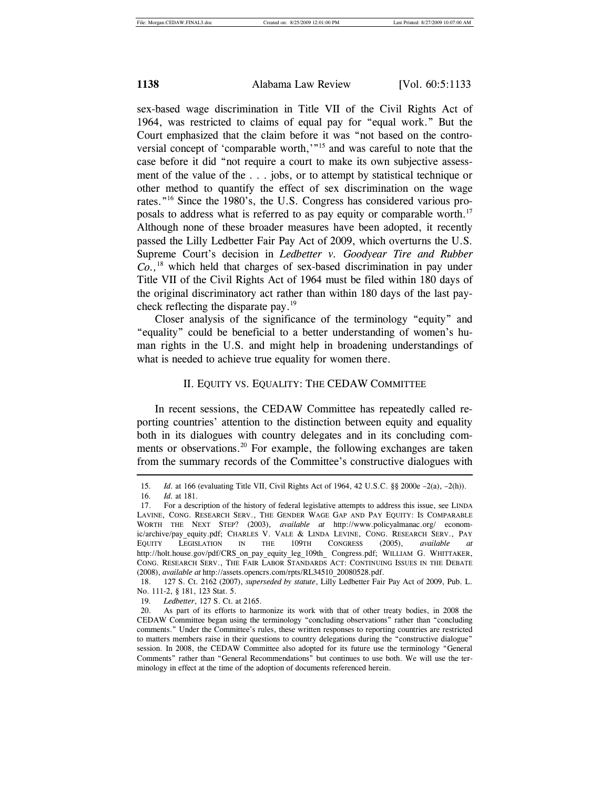sex-based wage discrimination in Title VII of the Civil Rights Act of 1964, was restricted to claims of equal pay for "equal work." But the Court emphasized that the claim before it was "not based on the controversial concept of 'comparable worth,'"15 and was careful to note that the case before it did "not require a court to make its own subjective assessment of the value of the . . . jobs, or to attempt by statistical technique or other method to quantify the effect of sex discrimination on the wage rates."16 Since the 1980's, the U.S. Congress has considered various proposals to address what is referred to as pay equity or comparable worth.<sup>17</sup> Although none of these broader measures have been adopted, it recently passed the Lilly Ledbetter Fair Pay Act of 2009, which overturns the U.S. Supreme Court's decision in *Ledbetter v. Goodyear Tire and Rubber Co.,*18 which held that charges of sex-based discrimination in pay under Title VII of the Civil Rights Act of 1964 must be filed within 180 days of the original discriminatory act rather than within 180 days of the last paycheck reflecting the disparate pay.19

Closer analysis of the significance of the terminology "equity" and "equality" could be beneficial to a better understanding of women's human rights in the U.S. and might help in broadening understandings of what is needed to achieve true equality for women there.

# II. EQUITY VS. EQUALITY: THE CEDAW COMMITTEE

In recent sessions, the CEDAW Committee has repeatedly called reporting countries' attention to the distinction between equity and equality both in its dialogues with country delegates and in its concluding comments or observations.<sup>20</sup> For example, the following exchanges are taken from the summary records of the Committee's constructive dialogues with  $\overline{a}$ 

 <sup>15</sup>*. Id.* at 166 (evaluating Title VII, Civil Rights Act of 1964, 42 U.S.C. §§ 2000e –2(a), –2(h)). 16*. Id.* at 181.

 <sup>17.</sup> For a description of the history of federal legislative attempts to address this issue, see LINDA LAVINE, CONG. RESEARCH SERV., THE GENDER WAGE GAP AND PAY EQUITY: IS COMPARABLE WORTH THE NEXT STEP? (2003), *available at* http://www.policyalmanac.org/ economic/archive/pay\_equity.pdf; CHARLES V. VALE & LINDA LEVINE, CONG. RESEARCH SERV., PAY EQUITY LEGISLATION IN THE 109TH CONGRESS (2005), *available at*  http://holt.house.gov/pdf/CRS\_on\_pay\_equity\_leg\_109th\_ Congress.pdf; WILLIAM G. WHITTAKER, CONG. RESEARCH SERV., THE FAIR LABOR STANDARDS ACT: CONTINUING ISSUES IN THE DEBATE (2008), *available at* http://assets.opencrs.com/rpts/RL34510\_20080528.pdf.

 <sup>18. 127</sup> S. Ct. 2162 (2007), *superseded by statute*, Lilly Ledbetter Fair Pay Act of 2009, Pub. L. No. 111-2, § 181, 123 Stat. 5.

 <sup>19</sup>*. Ledbetter*, 127 S. Ct. at 2165.

 <sup>20.</sup> As part of its efforts to harmonize its work with that of other treaty bodies, in 2008 the CEDAW Committee began using the terminology "concluding observations" rather than "concluding comments." Under the Committee's rules, these written responses to reporting countries are restricted to matters members raise in their questions to country delegations during the "constructive dialogue" session. In 2008, the CEDAW Committee also adopted for its future use the terminology "General Comments" rather than "General Recommendations" but continues to use both. We will use the terminology in effect at the time of the adoption of documents referenced herein.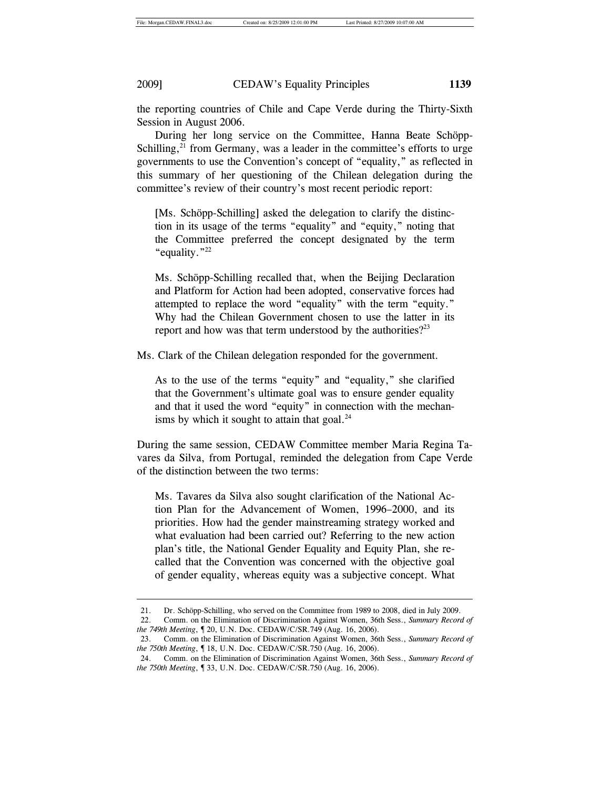the reporting countries of Chile and Cape Verde during the Thirty-Sixth Session in August 2006.

During her long service on the Committee, Hanna Beate Schöpp-Schilling, $2<sup>1</sup>$  from Germany, was a leader in the committee's efforts to urge governments to use the Convention's concept of "equality," as reflected in this summary of her questioning of the Chilean delegation during the committee's review of their country's most recent periodic report:

[Ms. Schöpp-Schilling] asked the delegation to clarify the distinction in its usage of the terms "equality" and "equity," noting that the Committee preferred the concept designated by the term "equality."22

Ms. Schöpp-Schilling recalled that, when the Beijing Declaration and Platform for Action had been adopted, conservative forces had attempted to replace the word "equality" with the term "equity." Why had the Chilean Government chosen to use the latter in its report and how was that term understood by the authorities? $2^{23}$ 

Ms. Clark of the Chilean delegation responded for the government.

As to the use of the terms "equity" and "equality," she clarified that the Government's ultimate goal was to ensure gender equality and that it used the word "equity" in connection with the mechanisms by which it sought to attain that goal. $^{24}$ 

During the same session, CEDAW Committee member Maria Regina Tavares da Silva, from Portugal, reminded the delegation from Cape Verde of the distinction between the two terms:

Ms. Tavares da Silva also sought clarification of the National Action Plan for the Advancement of Women, 1996–2000, and its priorities. How had the gender mainstreaming strategy worked and what evaluation had been carried out? Referring to the new action plan's title, the National Gender Equality and Equity Plan, she recalled that the Convention was concerned with the objective goal of gender equality, whereas equity was a subjective concept. What

 <sup>21.</sup> Dr. Schöpp-Schilling, who served on the Committee from 1989 to 2008, died in July 2009.

 <sup>22.</sup> Comm. on the Elimination of Discrimination Against Women, 36th Sess., *Summary Record of the 749th Meeting*, ¶ 20, U.N. Doc. CEDAW/C/SR.749 (Aug. 16, 2006).

 <sup>23.</sup> Comm. on the Elimination of Discrimination Against Women, 36th Sess., *Summary Record of the 750th Meeting*, ¶ 18, U.N. Doc. CEDAW/C/SR.750 (Aug. 16, 2006).

 <sup>24.</sup> Comm. on the Elimination of Discrimination Against Women, 36th Sess., *Summary Record of the 750th Meeting*, ¶ 33, U.N. Doc. CEDAW/C/SR.750 (Aug. 16, 2006).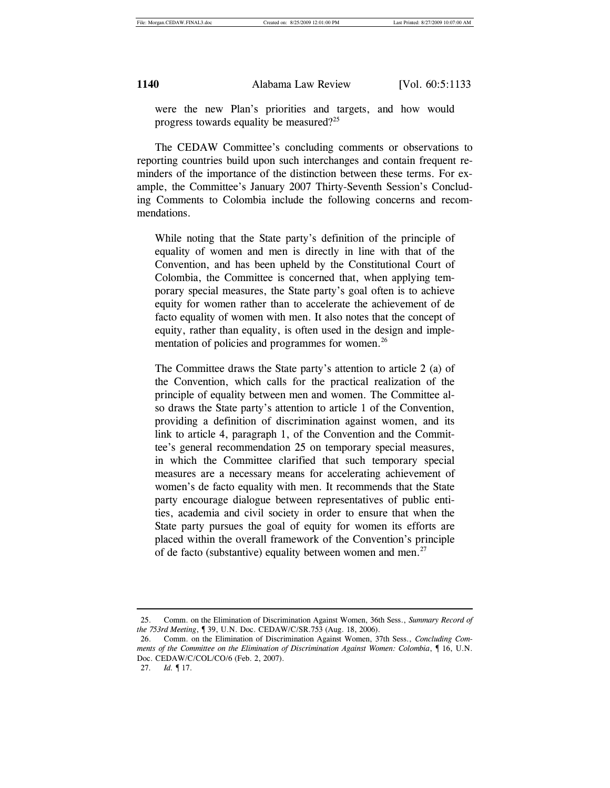were the new Plan's priorities and targets, and how would progress towards equality be measured?<sup>25</sup>

The CEDAW Committee's concluding comments or observations to reporting countries build upon such interchanges and contain frequent reminders of the importance of the distinction between these terms. For example, the Committee's January 2007 Thirty-Seventh Session's Concluding Comments to Colombia include the following concerns and recommendations.

While noting that the State party's definition of the principle of equality of women and men is directly in line with that of the Convention, and has been upheld by the Constitutional Court of Colombia, the Committee is concerned that, when applying temporary special measures, the State party's goal often is to achieve equity for women rather than to accelerate the achievement of de facto equality of women with men. It also notes that the concept of equity, rather than equality, is often used in the design and implementation of policies and programmes for women.<sup>26</sup>

The Committee draws the State party's attention to article 2 (a) of the Convention, which calls for the practical realization of the principle of equality between men and women. The Committee also draws the State party's attention to article 1 of the Convention, providing a definition of discrimination against women, and its link to article 4, paragraph 1, of the Convention and the Committee's general recommendation 25 on temporary special measures, in which the Committee clarified that such temporary special measures are a necessary means for accelerating achievement of women's de facto equality with men. It recommends that the State party encourage dialogue between representatives of public entities, academia and civil society in order to ensure that when the State party pursues the goal of equity for women its efforts are placed within the overall framework of the Convention's principle of de facto (substantive) equality between women and men.<sup>27</sup>

 <sup>25.</sup> Comm. on the Elimination of Discrimination Against Women, 36th Sess., *Summary Record of the 753rd Meeting*, ¶ 39, U.N. Doc. CEDAW/C/SR.753 (Aug. 18, 2006).

 <sup>26.</sup> Comm. on the Elimination of Discrimination Against Women, 37th Sess., *Concluding Comments of the Committee on the Elimination of Discrimination Against Women: Colombia*, ¶ 16, U.N. Doc. CEDAW/C/COL/CO/6 (Feb. 2, 2007).

 <sup>27</sup>*. Id.* ¶ 17.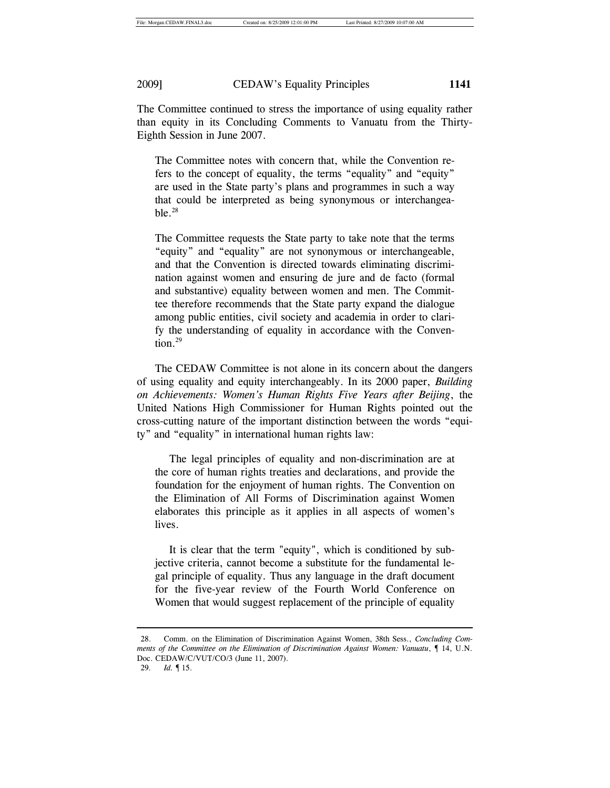The Committee continued to stress the importance of using equality rather than equity in its Concluding Comments to Vanuatu from the Thirty-Eighth Session in June 2007.

The Committee notes with concern that, while the Convention refers to the concept of equality, the terms "equality" and "equity" are used in the State party's plans and programmes in such a way that could be interpreted as being synonymous or interchangea $ble.$ <sup>28</sup>

The Committee requests the State party to take note that the terms "equity" and "equality" are not synonymous or interchangeable, and that the Convention is directed towards eliminating discrimination against women and ensuring de jure and de facto (formal and substantive) equality between women and men. The Committee therefore recommends that the State party expand the dialogue among public entities, civil society and academia in order to clarify the understanding of equality in accordance with the Convention.<sup>29</sup>

The CEDAW Committee is not alone in its concern about the dangers of using equality and equity interchangeably. In its 2000 paper, *Building on Achievements: Women's Human Rights Five Years after Beijing*, the United Nations High Commissioner for Human Rights pointed out the cross-cutting nature of the important distinction between the words "equity" and "equality" in international human rights law:

 The legal principles of equality and non-discrimination are at the core of human rights treaties and declarations, and provide the foundation for the enjoyment of human rights. The Convention on the Elimination of All Forms of Discrimination against Women elaborates this principle as it applies in all aspects of women's lives.

 It is clear that the term "equity", which is conditioned by subjective criteria, cannot become a substitute for the fundamental legal principle of equality. Thus any language in the draft document for the five-year review of the Fourth World Conference on Women that would suggest replacement of the principle of equality

l

 <sup>28.</sup> Comm. on the Elimination of Discrimination Against Women, 38th Sess., *Concluding Comments of the Committee on the Elimination of Discrimination Against Women: Vanuatu*, ¶ 14, U.N. Doc. CEDAW/C/VUT/CO/3 (June 11, 2007).

 <sup>29</sup>*. Id.* ¶ 15.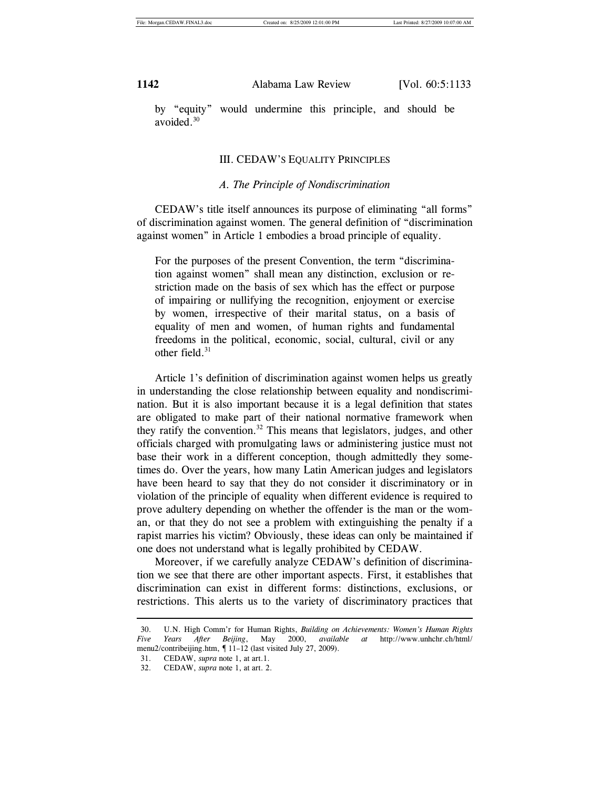by "equity" would undermine this principle, and should be avoided.30

# III. CEDAW'S EQUALITY PRINCIPLES

# *A. The Principle of Nondiscrimination*

CEDAW's title itself announces its purpose of eliminating "all forms" of discrimination against women. The general definition of "discrimination against women" in Article 1 embodies a broad principle of equality.

For the purposes of the present Convention, the term "discrimination against women" shall mean any distinction, exclusion or restriction made on the basis of sex which has the effect or purpose of impairing or nullifying the recognition, enjoyment or exercise by women, irrespective of their marital status, on a basis of equality of men and women, of human rights and fundamental freedoms in the political, economic, social, cultural, civil or any other field. $31$ 

Article 1's definition of discrimination against women helps us greatly in understanding the close relationship between equality and nondiscrimination. But it is also important because it is a legal definition that states are obligated to make part of their national normative framework when they ratify the convention.<sup>32</sup> This means that legislators, judges, and other officials charged with promulgating laws or administering justice must not base their work in a different conception, though admittedly they sometimes do. Over the years, how many Latin American judges and legislators have been heard to say that they do not consider it discriminatory or in violation of the principle of equality when different evidence is required to prove adultery depending on whether the offender is the man or the woman, or that they do not see a problem with extinguishing the penalty if a rapist marries his victim? Obviously, these ideas can only be maintained if one does not understand what is legally prohibited by CEDAW.

Moreover, if we carefully analyze CEDAW's definition of discrimination we see that there are other important aspects. First, it establishes that discrimination can exist in different forms: distinctions, exclusions, or restrictions. This alerts us to the variety of discriminatory practices that

l

 <sup>30.</sup> U.N. High Comm'r for Human Rights, *Building on Achievements: Women's Human Rights Five Years After Beijing*, May 2000, *available at* http://www.unhchr.ch/html/ menu2/contribeijing.htm, ¶ 11–12 (last visited July 27, 2009).

 <sup>31.</sup> CEDAW, *supra* note 1, at art.1.

 <sup>32.</sup> CEDAW, *supra* note 1, at art. 2.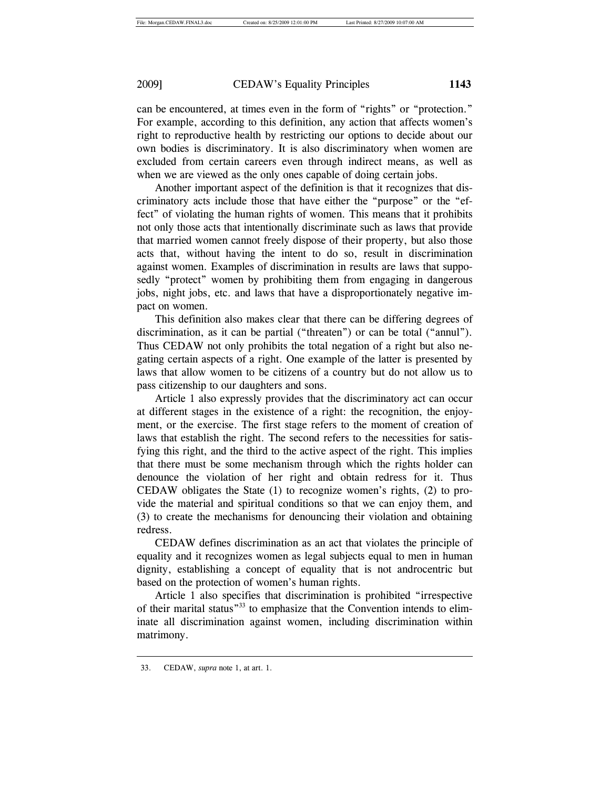can be encountered, at times even in the form of "rights" or "protection." For example, according to this definition, any action that affects women's right to reproductive health by restricting our options to decide about our own bodies is discriminatory. It is also discriminatory when women are excluded from certain careers even through indirect means, as well as when we are viewed as the only ones capable of doing certain jobs.

Another important aspect of the definition is that it recognizes that discriminatory acts include those that have either the "purpose" or the "effect" of violating the human rights of women. This means that it prohibits not only those acts that intentionally discriminate such as laws that provide that married women cannot freely dispose of their property, but also those acts that, without having the intent to do so, result in discrimination against women. Examples of discrimination in results are laws that supposedly "protect" women by prohibiting them from engaging in dangerous jobs, night jobs, etc. and laws that have a disproportionately negative impact on women.

This definition also makes clear that there can be differing degrees of discrimination, as it can be partial ("threaten") or can be total ("annul"). Thus CEDAW not only prohibits the total negation of a right but also negating certain aspects of a right. One example of the latter is presented by laws that allow women to be citizens of a country but do not allow us to pass citizenship to our daughters and sons.

Article 1 also expressly provides that the discriminatory act can occur at different stages in the existence of a right: the recognition, the enjoyment, or the exercise. The first stage refers to the moment of creation of laws that establish the right. The second refers to the necessities for satisfying this right, and the third to the active aspect of the right. This implies that there must be some mechanism through which the rights holder can denounce the violation of her right and obtain redress for it. Thus CEDAW obligates the State (1) to recognize women's rights, (2) to provide the material and spiritual conditions so that we can enjoy them, and (3) to create the mechanisms for denouncing their violation and obtaining redress.

CEDAW defines discrimination as an act that violates the principle of equality and it recognizes women as legal subjects equal to men in human dignity, establishing a concept of equality that is not androcentric but based on the protection of women's human rights.

Article 1 also specifies that discrimination is prohibited "irrespective of their marital status<sup>33</sup> to emphasize that the Convention intends to eliminate all discrimination against women, including discrimination within matrimony.

 <sup>33.</sup> CEDAW, *supra* note 1, at art. 1.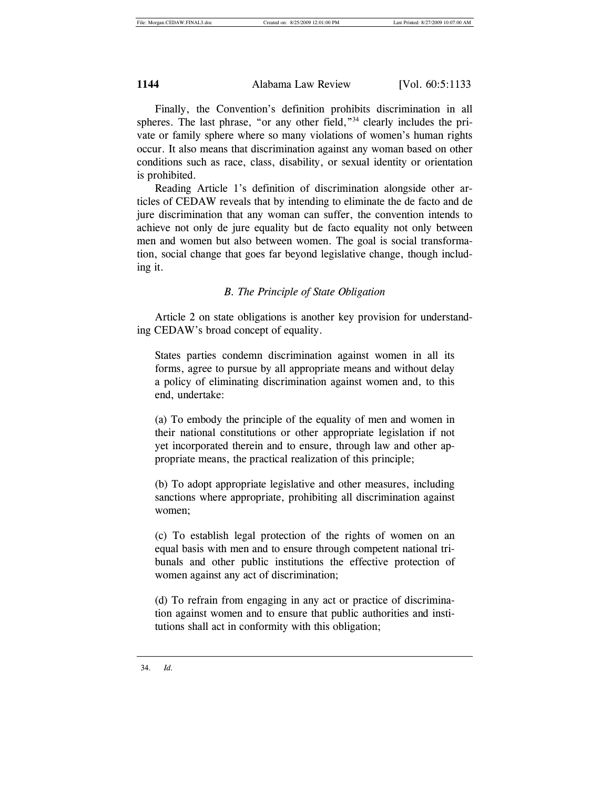Finally, the Convention's definition prohibits discrimination in all spheres. The last phrase, "or any other field,"<sup>34</sup> clearly includes the private or family sphere where so many violations of women's human rights occur. It also means that discrimination against any woman based on other conditions such as race, class, disability, or sexual identity or orientation is prohibited.

Reading Article 1's definition of discrimination alongside other articles of CEDAW reveals that by intending to eliminate the de facto and de jure discrimination that any woman can suffer, the convention intends to achieve not only de jure equality but de facto equality not only between men and women but also between women. The goal is social transformation, social change that goes far beyond legislative change, though including it.

# *B. The Principle of State Obligation*

Article 2 on state obligations is another key provision for understanding CEDAW's broad concept of equality.

States parties condemn discrimination against women in all its forms, agree to pursue by all appropriate means and without delay a policy of eliminating discrimination against women and, to this end, undertake:

(a) To embody the principle of the equality of men and women in their national constitutions or other appropriate legislation if not yet incorporated therein and to ensure, through law and other appropriate means, the practical realization of this principle;

(b) To adopt appropriate legislative and other measures, including sanctions where appropriate, prohibiting all discrimination against women;

(c) To establish legal protection of the rights of women on an equal basis with men and to ensure through competent national tribunals and other public institutions the effective protection of women against any act of discrimination;

(d) To refrain from engaging in any act or practice of discrimination against women and to ensure that public authorities and institutions shall act in conformity with this obligation;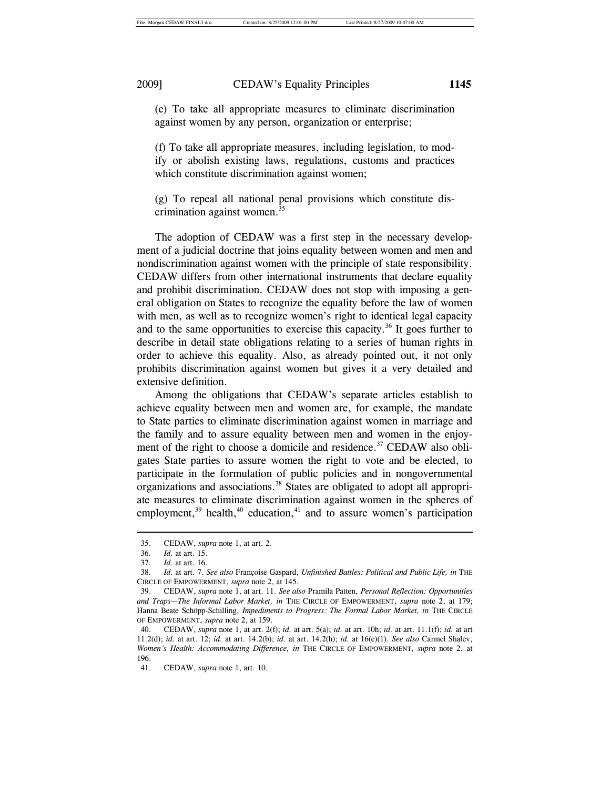(e) To take all appropriate measures to eliminate discrimination against women by any person, organization or enterprise;

(f) To take all appropriate measures, including legislation, to modify or abolish existing laws, regulations, customs and practices which constitute discrimination against women;

(g) To repeal all national penal provisions which constitute discrimination against women.<sup>35</sup>

The adoption of CEDAW was a first step in the necessary development of a judicial doctrine that joins equality between women and men and nondiscrimination against women with the principle of state responsibility. CEDAW differs from other international instruments that declare equality and prohibit discrimination. CEDAW does not stop with imposing a general obligation on States to recognize the equality before the law of women with men, as well as to recognize women's right to identical legal capacity and to the same opportunities to exercise this capacity.<sup>36</sup> It goes further to describe in detail state obligations relating to a series of human rights in order to achieve this equality. Also, as already pointed out, it not only prohibits discrimination against women but gives it a very detailed and extensive definition.

Among the obligations that CEDAW's separate articles establish to achieve equality between men and women are, for example, the mandate to State parties to eliminate discrimination against women in marriage and the family and to assure equality between men and women in the enjoyment of the right to choose a domicile and residence.<sup>37</sup> CEDAW also obligates State parties to assure women the right to vote and be elected, to participate in the formulation of public policies and in nongovernmental organizations and associations.<sup>38</sup> States are obligated to adopt all appropriate measures to eliminate discrimination against women in the spheres of employment,<sup>39</sup> health,<sup>40</sup> education,<sup>41</sup> and to assure women's participation

l

 <sup>35.</sup> CEDAW, *supra* note 1, at art. 2.

<sup>36.</sup> *Id.* at art. 15.<br>37. *Id.* at art. 16.

 <sup>37</sup>*. Id.* at art. 16.

 <sup>38</sup>*. Id.* at art. 7. *See also* Françoise Gaspard, *Unfinished Battles: Political and Public Life, in* THE CIRCLE OF EMPOWERMENT, *supra* note 2, at 145.

 <sup>39.</sup> CEDAW, *supra* note 1, at art. 11. *See also* Pramila Patten, *Personal Reflection: Opportunities and Traps—The Informal Labor Market, in* THE CIRCLE OF EMPOWERMENT, *supra* note 2, at 179; Hanna Beate Schöpp-Schilling, *Impediments to Progress: The Formal Labor Market, in* THE CIRCLE OF EMPOWERMENT, *supra* note 2, at 159.

 <sup>40.</sup> CEDAW, *supra* note 1, at art. 2(f); *id.* at art. 5(a); *id.* at art. 10h; *id.* at art. 11.1(f); *id.* at art 11.2(d); *id.* at art. 12; *id.* at art. 14.2(b); *id.* at art. 14.2(h); *id.* at 16(e)(1). *See also* Carmel Shalev, *Women's Health: Accommodating Difference, in* THE CIRCLE OF EMPOWERMENT, *supra* note 2, at 196.

 <sup>41.</sup> CEDAW, *supra* note 1, art. 10.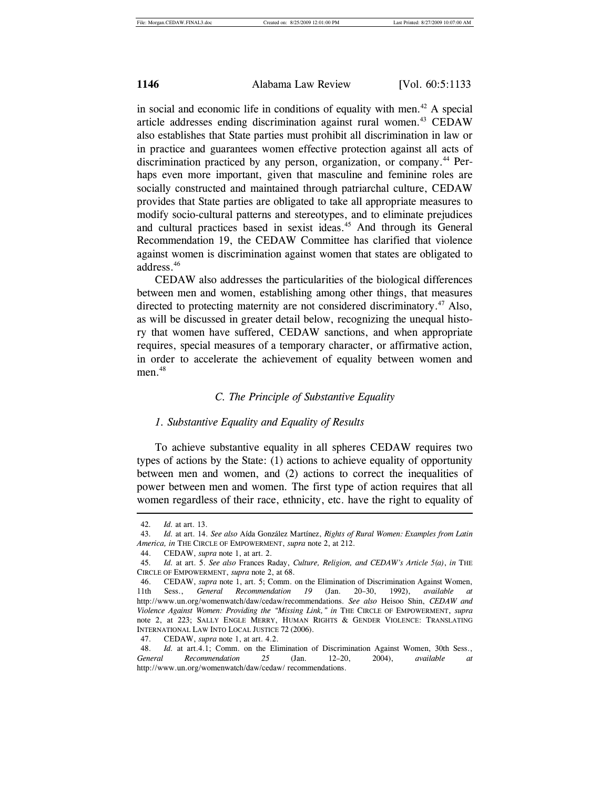in social and economic life in conditions of equality with men.<sup>42</sup> A special article addresses ending discrimination against rural women.<sup>43</sup> CEDAW also establishes that State parties must prohibit all discrimination in law or in practice and guarantees women effective protection against all acts of discrimination practiced by any person, organization, or company.<sup>44</sup> Perhaps even more important, given that masculine and feminine roles are socially constructed and maintained through patriarchal culture, CEDAW provides that State parties are obligated to take all appropriate measures to modify socio-cultural patterns and stereotypes, and to eliminate prejudices and cultural practices based in sexist ideas.<sup>45</sup> And through its General Recommendation 19, the CEDAW Committee has clarified that violence against women is discrimination against women that states are obligated to address.46

CEDAW also addresses the particularities of the biological differences between men and women, establishing among other things, that measures directed to protecting maternity are not considered discriminatory.<sup>47</sup> Also, as will be discussed in greater detail below, recognizing the unequal history that women have suffered, CEDAW sanctions, and when appropriate requires, special measures of a temporary character, or affirmative action, in order to accelerate the achievement of equality between women and men.<sup>48</sup>

# *C. The Principle of Substantive Equality*

# *1. Substantive Equality and Equality of Results*

To achieve substantive equality in all spheres CEDAW requires two types of actions by the State: (1) actions to achieve equality of opportunity between men and women, and (2) actions to correct the inequalities of power between men and women. The first type of action requires that all women regardless of their race, ethnicity, etc. have the right to equality of  $\overline{a}$ 

 <sup>42</sup>*. Id.* at art. 13.

 <sup>43</sup>*. Id.* at art. 14. *See also* Aída González Martínez, *Rights of Rural Women: Examples from Latin America, in* THE CIRCLE OF EMPOWERMENT, *supra* note 2, at 212.

 <sup>44.</sup> CEDAW, *supra* note 1, at art. 2.

 <sup>45</sup>*. Id.* at art. 5. *See also* Frances Raday, *Culture, Religion, and CEDAW's Article 5(a)*, *in* THE CIRCLE OF EMPOWERMENT, *supra* note 2, at 68.

 <sup>46.</sup> CEDAW, *supra* note 1, art. 5; Comm. on the Elimination of Discrimination Against Women, 11th Sess., *General Recommendation 19* (Jan. 20–30, 1992), *available at* http://www.un.org/womenwatch/daw/cedaw/recommendations. *See also* Heisoo Shin, *CEDAW and Violence Against Women: Providing the "Missing Link," in* THE CIRCLE OF EMPOWERMENT, *supra* note 2, at 223; SALLY ENGLE MERRY, HUMAN RIGHTS & GENDER VIOLENCE: TRANSLATING INTERNATIONAL LAW INTO LOCAL JUSTICE 72 (2006).

 <sup>47.</sup> CEDAW, *supra* note 1, at art. 4.2.

 <sup>48.</sup> *Id.* at art.4.1; Comm. on the Elimination of Discrimination Against Women, 30th Sess., *General Recommendation 25* (Jan. 12–20, 2004), *available at* http://www.un.org/womenwatch/daw/cedaw/ recommendations.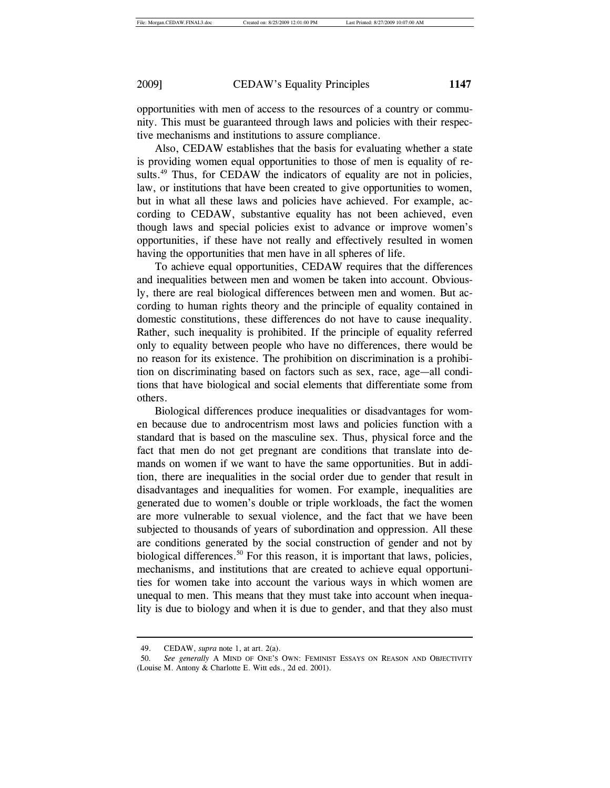opportunities with men of access to the resources of a country or community. This must be guaranteed through laws and policies with their respective mechanisms and institutions to assure compliance.

Also, CEDAW establishes that the basis for evaluating whether a state is providing women equal opportunities to those of men is equality of results.<sup>49</sup> Thus, for CEDAW the indicators of equality are not in policies, law, or institutions that have been created to give opportunities to women, but in what all these laws and policies have achieved. For example, according to CEDAW, substantive equality has not been achieved, even though laws and special policies exist to advance or improve women's opportunities, if these have not really and effectively resulted in women having the opportunities that men have in all spheres of life.

To achieve equal opportunities, CEDAW requires that the differences and inequalities between men and women be taken into account. Obviously, there are real biological differences between men and women. But according to human rights theory and the principle of equality contained in domestic constitutions, these differences do not have to cause inequality. Rather, such inequality is prohibited. If the principle of equality referred only to equality between people who have no differences, there would be no reason for its existence. The prohibition on discrimination is a prohibition on discriminating based on factors such as sex, race, age—all conditions that have biological and social elements that differentiate some from others.

Biological differences produce inequalities or disadvantages for women because due to androcentrism most laws and policies function with a standard that is based on the masculine sex. Thus, physical force and the fact that men do not get pregnant are conditions that translate into demands on women if we want to have the same opportunities. But in addition, there are inequalities in the social order due to gender that result in disadvantages and inequalities for women. For example, inequalities are generated due to women's double or triple workloads, the fact the women are more vulnerable to sexual violence, and the fact that we have been subjected to thousands of years of subordination and oppression. All these are conditions generated by the social construction of gender and not by biological differences.<sup>50</sup> For this reason, it is important that laws, policies, mechanisms, and institutions that are created to achieve equal opportunities for women take into account the various ways in which women are unequal to men. This means that they must take into account when inequality is due to biology and when it is due to gender, and that they also must

 <sup>49.</sup> CEDAW, *supra* note 1, at art. 2(a).

 <sup>50</sup>*. See generally* A MIND OF ONE'S OWN: FEMINIST ESSAYS ON REASON AND OBJECTIVITY (Louise M. Antony & Charlotte E. Witt eds., 2d ed. 2001).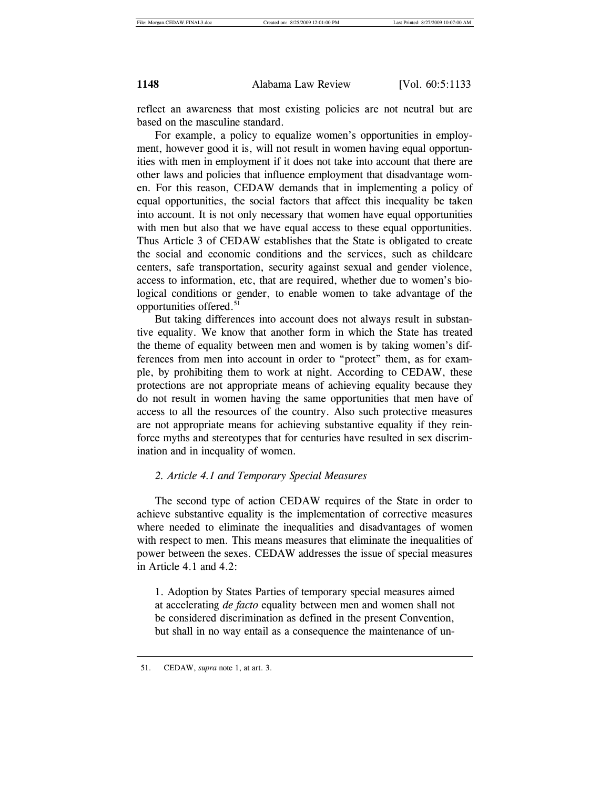reflect an awareness that most existing policies are not neutral but are based on the masculine standard.

For example, a policy to equalize women's opportunities in employment, however good it is, will not result in women having equal opportunities with men in employment if it does not take into account that there are other laws and policies that influence employment that disadvantage women. For this reason, CEDAW demands that in implementing a policy of equal opportunities, the social factors that affect this inequality be taken into account. It is not only necessary that women have equal opportunities with men but also that we have equal access to these equal opportunities. Thus Article 3 of CEDAW establishes that the State is obligated to create the social and economic conditions and the services, such as childcare centers, safe transportation, security against sexual and gender violence, access to information, etc, that are required, whether due to women's biological conditions or gender, to enable women to take advantage of the opportunities offered.51

But taking differences into account does not always result in substantive equality. We know that another form in which the State has treated the theme of equality between men and women is by taking women's differences from men into account in order to "protect" them, as for example, by prohibiting them to work at night. According to CEDAW, these protections are not appropriate means of achieving equality because they do not result in women having the same opportunities that men have of access to all the resources of the country. Also such protective measures are not appropriate means for achieving substantive equality if they reinforce myths and stereotypes that for centuries have resulted in sex discrimination and in inequality of women.

# *2. Article 4.1 and Temporary Special Measures*

The second type of action CEDAW requires of the State in order to achieve substantive equality is the implementation of corrective measures where needed to eliminate the inequalities and disadvantages of women with respect to men. This means measures that eliminate the inequalities of power between the sexes. CEDAW addresses the issue of special measures in Article 4.1 and 4.2:

1. Adoption by States Parties of temporary special measures aimed at accelerating *de facto* equality between men and women shall not be considered discrimination as defined in the present Convention, but shall in no way entail as a consequence the maintenance of un-

 <sup>51.</sup> CEDAW, *supra* note 1, at art. 3.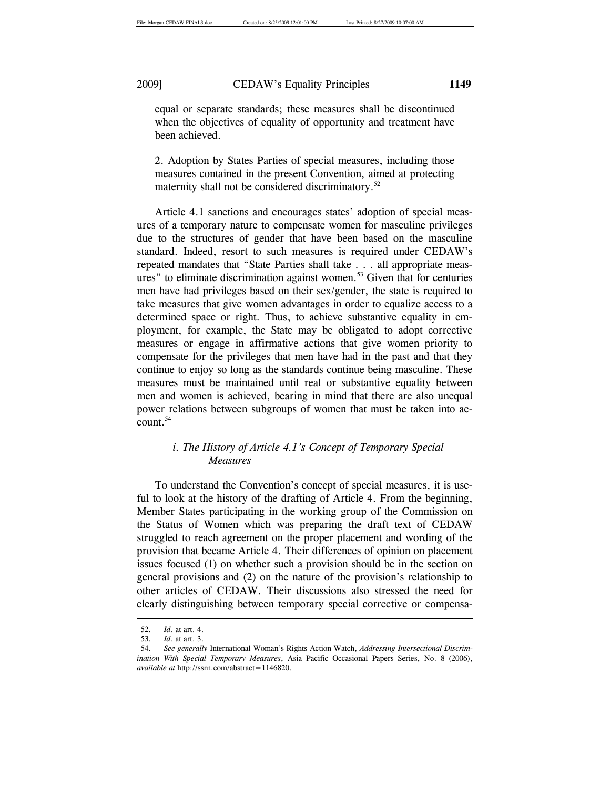equal or separate standards; these measures shall be discontinued when the objectives of equality of opportunity and treatment have been achieved.

2. Adoption by States Parties of special measures, including those measures contained in the present Convention, aimed at protecting maternity shall not be considered discriminatory.<sup>52</sup>

Article 4.1 sanctions and encourages states' adoption of special measures of a temporary nature to compensate women for masculine privileges due to the structures of gender that have been based on the masculine standard. Indeed, resort to such measures is required under CEDAW's repeated mandates that "State Parties shall take . . . all appropriate measures" to eliminate discrimination against women.53 Given that for centuries men have had privileges based on their sex/gender, the state is required to take measures that give women advantages in order to equalize access to a determined space or right. Thus, to achieve substantive equality in employment, for example, the State may be obligated to adopt corrective measures or engage in affirmative actions that give women priority to compensate for the privileges that men have had in the past and that they continue to enjoy so long as the standards continue being masculine. These measures must be maintained until real or substantive equality between men and women is achieved, bearing in mind that there are also unequal power relations between subgroups of women that must be taken into account.<sup>54</sup>

# *i. The History of Article 4.1's Concept of Temporary Special Measures*

To understand the Convention's concept of special measures, it is useful to look at the history of the drafting of Article 4. From the beginning, Member States participating in the working group of the Commission on the Status of Women which was preparing the draft text of CEDAW struggled to reach agreement on the proper placement and wording of the provision that became Article 4. Their differences of opinion on placement issues focused (1) on whether such a provision should be in the section on general provisions and (2) on the nature of the provision's relationship to other articles of CEDAW. Their discussions also stressed the need for clearly distinguishing between temporary special corrective or compensa l

 <sup>52</sup>*. Id.* at art. 4.

 <sup>53</sup>*. Id.* at art. 3.

 <sup>54</sup>*. See generally* International Woman's Rights Action Watch, *Addressing Intersectional Discrimination With Special Temporary Measures*, Asia Pacific Occasional Papers Series, No. 8 (2006), *available at* http://ssrn.com/abstract=1146820.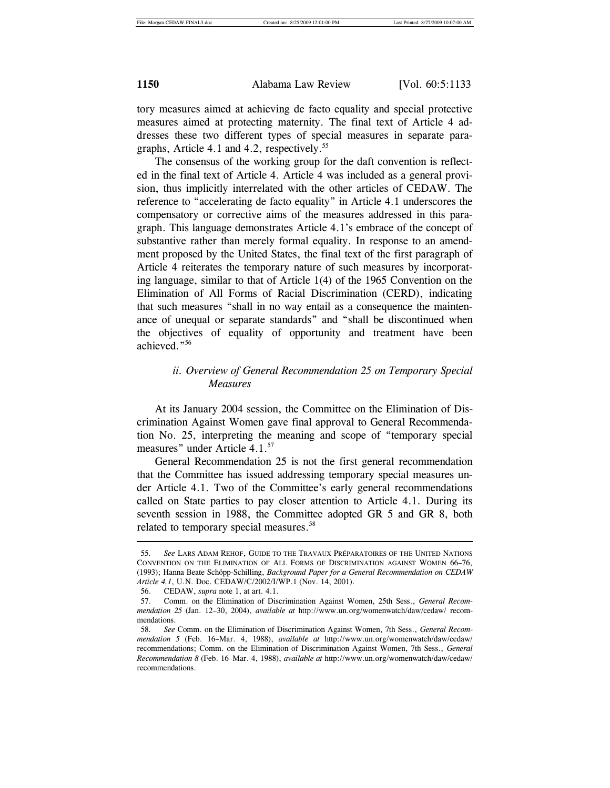tory measures aimed at achieving de facto equality and special protective measures aimed at protecting maternity. The final text of Article 4 addresses these two different types of special measures in separate paragraphs, Article 4.1 and 4.2, respectively.<sup>55</sup>

The consensus of the working group for the daft convention is reflected in the final text of Article 4. Article 4 was included as a general provision, thus implicitly interrelated with the other articles of CEDAW. The reference to "accelerating de facto equality" in Article 4.1 underscores the compensatory or corrective aims of the measures addressed in this paragraph. This language demonstrates Article 4.1's embrace of the concept of substantive rather than merely formal equality. In response to an amendment proposed by the United States, the final text of the first paragraph of Article 4 reiterates the temporary nature of such measures by incorporating language, similar to that of Article 1(4) of the 1965 Convention on the Elimination of All Forms of Racial Discrimination (CERD), indicating that such measures "shall in no way entail as a consequence the maintenance of unequal or separate standards" and "shall be discontinued when the objectives of equality of opportunity and treatment have been achieved."56

# *ii. Overview of General Recommendation 25 on Temporary Special Measures*

At its January 2004 session, the Committee on the Elimination of Discrimination Against Women gave final approval to General Recommendation No. 25, interpreting the meaning and scope of "temporary special measures" under Article 4.1.<sup>57</sup>

General Recommendation 25 is not the first general recommendation that the Committee has issued addressing temporary special measures under Article 4.1. Two of the Committee's early general recommendations called on State parties to pay closer attention to Article 4.1. During its seventh session in 1988, the Committee adopted GR 5 and GR 8, both related to temporary special measures.<sup>58</sup>

<sup>55</sup>*. See* LARS ADAM REHOF, GUIDE TO THE TRAVAUX PRÉPARATOIRES OF THE UNITED NATIONS CONVENTION ON THE ELIMINATION OF ALL FORMS OF DISCRIMINATION AGAINST WOMEN 66–76, (1993); Hanna Beate Schöpp-Schilling, *Background Paper for a General Recommendation on CEDAW Article 4.1*, U.N. Doc. CEDAW/C/2002/I/WP.1 (Nov. 14, 2001).

 <sup>56.</sup> CEDAW, *supra* note 1, at art. 4.1.

 <sup>57.</sup> Comm. on the Elimination of Discrimination Against Women, 25th Sess., *General Recommendation 25* (Jan. 12–30, 2004), *available at* http://www.un.org/womenwatch/daw/cedaw/ recommendations.

 <sup>58</sup>*. See* Comm. on the Elimination of Discrimination Against Women, 7th Sess., *General Recommendation 5* (Feb. 16–Mar. 4, 1988), *available at* http://www.un.org/womenwatch/daw/cedaw/ recommendations; Comm. on the Elimination of Discrimination Against Women, 7th Sess., *General Recommendation 8* (Feb. 16–Mar. 4, 1988), *available at* http://www.un.org/womenwatch/daw/cedaw/ recommendations.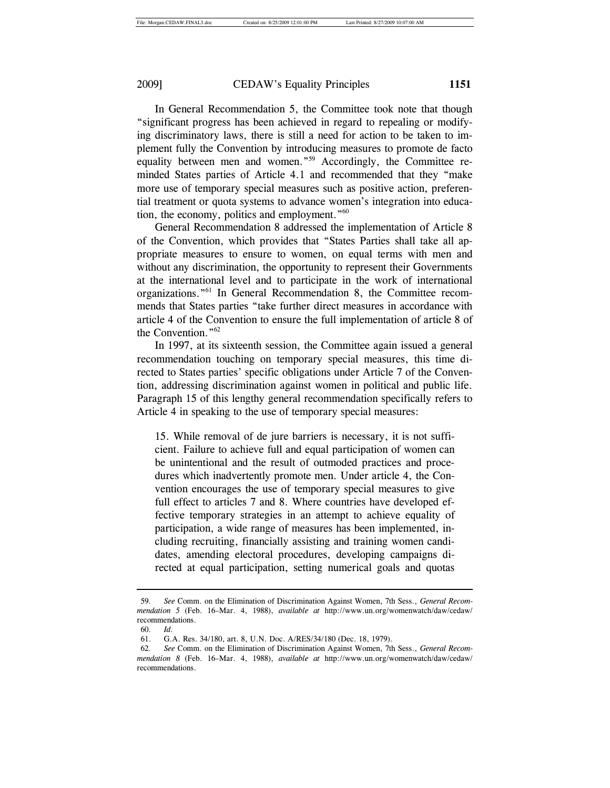In General Recommendation 5, the Committee took note that though "significant progress has been achieved in regard to repealing or modifying discriminatory laws, there is still a need for action to be taken to implement fully the Convention by introducing measures to promote de facto equality between men and women."59 Accordingly, the Committee reminded States parties of Article 4.1 and recommended that they "make more use of temporary special measures such as positive action, preferential treatment or quota systems to advance women's integration into education, the economy, politics and employment."60

General Recommendation 8 addressed the implementation of Article 8 of the Convention, which provides that "States Parties shall take all appropriate measures to ensure to women, on equal terms with men and without any discrimination, the opportunity to represent their Governments at the international level and to participate in the work of international organizations."61 In General Recommendation 8, the Committee recommends that States parties "take further direct measures in accordance with article 4 of the Convention to ensure the full implementation of article 8 of the Convention."<sup>62</sup>

In 1997, at its sixteenth session, the Committee again issued a general recommendation touching on temporary special measures, this time directed to States parties' specific obligations under Article 7 of the Convention, addressing discrimination against women in political and public life. Paragraph 15 of this lengthy general recommendation specifically refers to Article 4 in speaking to the use of temporary special measures:

15. While removal of de jure barriers is necessary, it is not sufficient. Failure to achieve full and equal participation of women can be unintentional and the result of outmoded practices and procedures which inadvertently promote men. Under article 4, the Convention encourages the use of temporary special measures to give full effect to articles 7 and 8. Where countries have developed effective temporary strategies in an attempt to achieve equality of participation, a wide range of measures has been implemented, including recruiting, financially assisting and training women candidates, amending electoral procedures, developing campaigns directed at equal participation, setting numerical goals and quotas

 <sup>59</sup>*. See* Comm. on the Elimination of Discrimination Against Women, 7th Sess., *General Recommendation 5* (Feb. 16–Mar. 4, 1988), *available at* http://www.un.org/womenwatch/daw/cedaw/ recommendations.

<sup>60</sup>*. Id.*

 <sup>61.</sup> G.A. Res. 34/180, art. 8, U.N. Doc. A/RES/34/180 (Dec. 18, 1979).

<sup>62</sup>*. See* Comm. on the Elimination of Discrimination Against Women, 7th Sess., *General Recommendation 8* (Feb. 16–Mar. 4, 1988), *available at* http://www.un.org/womenwatch/daw/cedaw/ recommendations.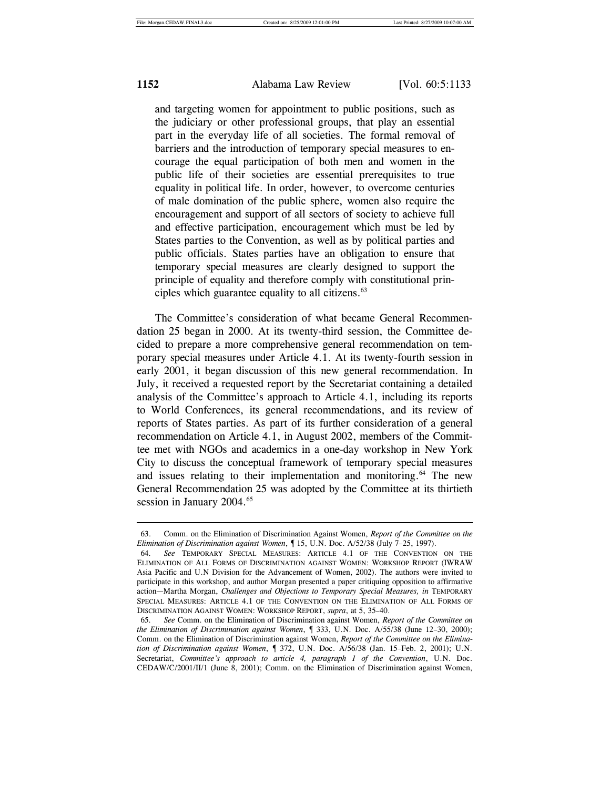# **1152** Alabama Law Review [Vol. 60:5:1133

and targeting women for appointment to public positions, such as the judiciary or other professional groups, that play an essential part in the everyday life of all societies. The formal removal of barriers and the introduction of temporary special measures to encourage the equal participation of both men and women in the public life of their societies are essential prerequisites to true equality in political life. In order, however, to overcome centuries of male domination of the public sphere, women also require the encouragement and support of all sectors of society to achieve full and effective participation, encouragement which must be led by States parties to the Convention, as well as by political parties and public officials. States parties have an obligation to ensure that temporary special measures are clearly designed to support the principle of equality and therefore comply with constitutional principles which guarantee equality to all citizens. $63$ 

The Committee's consideration of what became General Recommendation 25 began in 2000. At its twenty-third session, the Committee decided to prepare a more comprehensive general recommendation on temporary special measures under Article 4.1. At its twenty-fourth session in early 2001, it began discussion of this new general recommendation. In July, it received a requested report by the Secretariat containing a detailed analysis of the Committee's approach to Article 4.1, including its reports to World Conferences, its general recommendations, and its review of reports of States parties. As part of its further consideration of a general recommendation on Article 4.1, in August 2002, members of the Committee met with NGOs and academics in a one-day workshop in New York City to discuss the conceptual framework of temporary special measures and issues relating to their implementation and monitoring.<sup>64</sup> The new General Recommendation 25 was adopted by the Committee at its thirtieth session in January  $2004.<sup>65</sup>$ 

 <sup>63.</sup> Comm. on the Elimination of Discrimination Against Women, *Report of the Committee on the Elimination of Discrimination against Women*, ¶ 15, U.N. Doc. A/52/38 (July 7–25, 1997).

 <sup>64</sup>*. See* TEMPORARY SPECIAL MEASURES: ARTICLE 4.1 OF THE CONVENTION ON THE ELIMINATION OF ALL FORMS OF DISCRIMINATION AGAINST WOMEN: WORKSHOP REPORT (IWRAW Asia Pacific and U.N Division for the Advancement of Women, 2002). The authors were invited to participate in this workshop, and author Morgan presented a paper critiquing opposition to affirmative action—Martha Morgan, *Challenges and Objections to Temporary Special Measures, in* TEMPORARY SPECIAL MEASURES: ARTICLE 4.1 OF THE CONVENTION ON THE ELIMINATION OF ALL FORMS OF DISCRIMINATION AGAINST WOMEN: WORKSHOP REPORT, *supra*, at 5, 35–40.

 <sup>65</sup>*. See* Comm. on the Elimination of Discrimination against Women, *Report of the Committee on the Elimination of Discrimination against Women*, ¶ 333, U.N. Doc. A/55/38 (June 12–30, 2000); Comm. on the Elimination of Discrimination against Women, *Report of the Committee on the Elimination of Discrimination against Women*, ¶ 372, U.N. Doc. A/56/38 (Jan. 15–Feb. 2, 2001); U.N. Secretariat, *Committee's approach to article 4, paragraph 1 of the Convention*, U.N. Doc. CEDAW/C/2001/II/1 (June 8, 2001); Comm. on the Elimination of Discrimination against Women,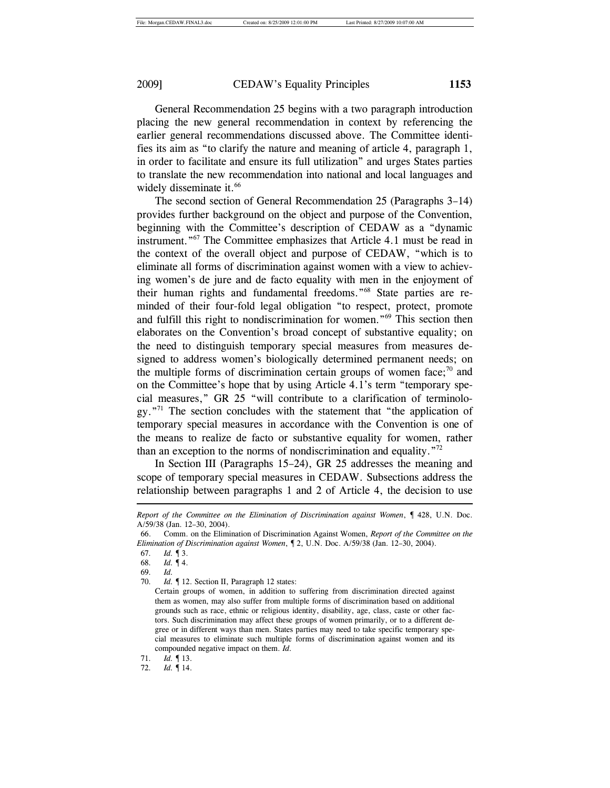General Recommendation 25 begins with a two paragraph introduction placing the new general recommendation in context by referencing the earlier general recommendations discussed above. The Committee identifies its aim as "to clarify the nature and meaning of article 4, paragraph 1, in order to facilitate and ensure its full utilization" and urges States parties to translate the new recommendation into national and local languages and widely disseminate it.<sup>66</sup>

The second section of General Recommendation 25 (Paragraphs 3–14) provides further background on the object and purpose of the Convention, beginning with the Committee's description of CEDAW as a "dynamic instrument."67 The Committee emphasizes that Article 4.1 must be read in the context of the overall object and purpose of CEDAW, "which is to eliminate all forms of discrimination against women with a view to achieving women's de jure and de facto equality with men in the enjoyment of their human rights and fundamental freedoms."68 State parties are reminded of their four-fold legal obligation "to respect, protect, promote and fulfill this right to nondiscrimination for women."69 This section then elaborates on the Convention's broad concept of substantive equality; on the need to distinguish temporary special measures from measures designed to address women's biologically determined permanent needs; on the multiple forms of discrimination certain groups of women face;<sup>70</sup> and on the Committee's hope that by using Article 4.1's term "temporary special measures," GR 25 "will contribute to a clarification of terminology."71 The section concludes with the statement that "the application of temporary special measures in accordance with the Convention is one of the means to realize de facto or substantive equality for women, rather than an exception to the norms of nondiscrimination and equality. $172$ 

In Section III (Paragraphs 15–24), GR 25 addresses the meaning and scope of temporary special measures in CEDAW. Subsections address the relationship between paragraphs 1 and 2 of Article 4, the decision to use  $\overline{a}$ 

70*. Id.* ¶ 12. Section II, Paragraph 12 states:

71*. Id.* ¶ 13.

*Report of the Committee on the Elimination of Discrimination against Women*, ¶ 428, U.N. Doc. A/59/38 (Jan. 12–30, 2004).

 <sup>66.</sup> Comm. on the Elimination of Discrimination Against Women, *Report of the Committee on the Elimination of Discrimination against Women*, ¶ 2, U.N. Doc. A/59/38 (Jan. 12–30, 2004).

 <sup>67</sup>*. Id.* ¶ 3.

 <sup>68</sup>*. Id.* ¶ 4.

 <sup>69</sup>*. Id.* 

Certain groups of women, in addition to suffering from discrimination directed against them as women, may also suffer from multiple forms of discrimination based on additional grounds such as race, ethnic or religious identity, disability, age, class, caste or other factors. Such discrimination may affect these groups of women primarily, or to a different degree or in different ways than men. States parties may need to take specific temporary special measures to eliminate such multiple forms of discrimination against women and its compounded negative impact on them. *Id.* 

 <sup>72</sup>*. Id.* ¶ 14.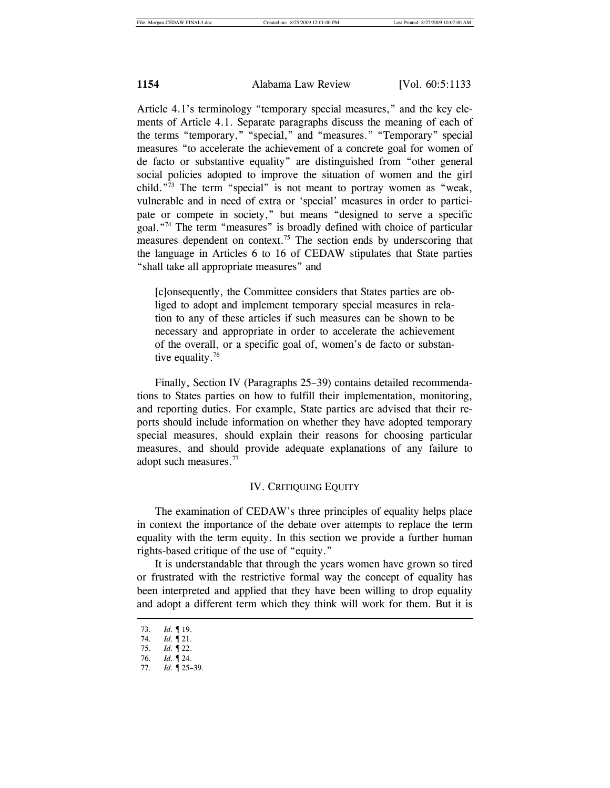Article 4.1's terminology "temporary special measures," and the key elements of Article 4.1. Separate paragraphs discuss the meaning of each of the terms "temporary," "special," and "measures." "Temporary" special measures "to accelerate the achievement of a concrete goal for women of de facto or substantive equality" are distinguished from "other general social policies adopted to improve the situation of women and the girl child."73 The term "special" is not meant to portray women as "weak, vulnerable and in need of extra or 'special' measures in order to participate or compete in society," but means "designed to serve a specific goal."74 The term "measures" is broadly defined with choice of particular measures dependent on context.<sup>75</sup> The section ends by underscoring that the language in Articles 6 to 16 of CEDAW stipulates that State parties "shall take all appropriate measures" and

[c]onsequently, the Committee considers that States parties are obliged to adopt and implement temporary special measures in relation to any of these articles if such measures can be shown to be necessary and appropriate in order to accelerate the achievement of the overall, or a specific goal of, women's de facto or substantive equality. $76$ 

Finally, Section IV (Paragraphs 25–39) contains detailed recommendations to States parties on how to fulfill their implementation, monitoring, and reporting duties. For example, State parties are advised that their reports should include information on whether they have adopted temporary special measures, should explain their reasons for choosing particular measures, and should provide adequate explanations of any failure to adopt such measures.<sup>77</sup>

# IV. CRITIQUING EQUITY

The examination of CEDAW's three principles of equality helps place in context the importance of the debate over attempts to replace the term equality with the term equity. In this section we provide a further human rights-based critique of the use of "equity."

It is understandable that through the years women have grown so tired or frustrated with the restrictive formal way the concept of equality has been interpreted and applied that they have been willing to drop equality and adopt a different term which they think will work for them. But it is

<sup>73.</sup> *Id.* 19.<br>74. *Id.* 121.

 <sup>74</sup>*. Id.* ¶ 21.

 <sup>75</sup>*. Id.* ¶ 22. 76*. Id.* ¶ 24.

 <sup>77</sup>*. Id.* ¶ 25–39.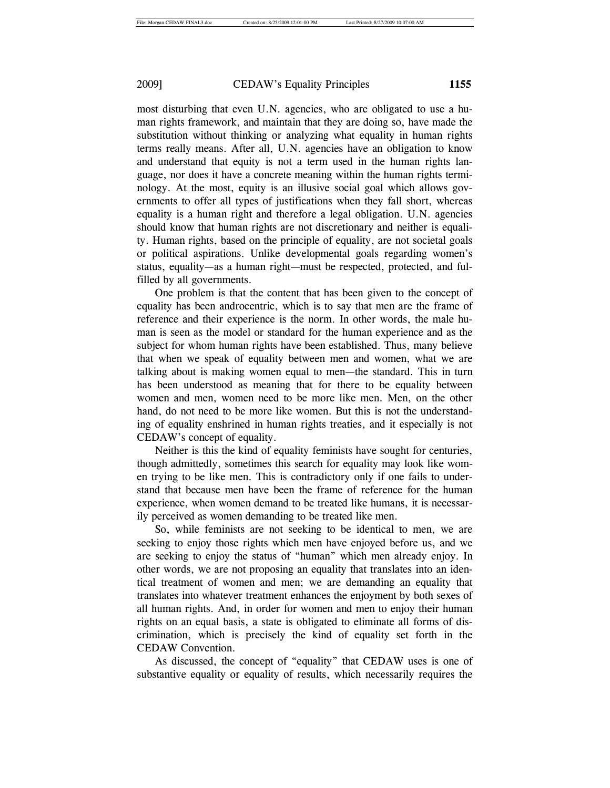most disturbing that even U.N. agencies, who are obligated to use a human rights framework, and maintain that they are doing so, have made the substitution without thinking or analyzing what equality in human rights terms really means. After all, U.N. agencies have an obligation to know and understand that equity is not a term used in the human rights language, nor does it have a concrete meaning within the human rights terminology. At the most, equity is an illusive social goal which allows governments to offer all types of justifications when they fall short, whereas equality is a human right and therefore a legal obligation. U.N. agencies should know that human rights are not discretionary and neither is equality. Human rights, based on the principle of equality, are not societal goals or political aspirations. Unlike developmental goals regarding women's status, equality—as a human right—must be respected, protected, and fulfilled by all governments.

One problem is that the content that has been given to the concept of equality has been androcentric, which is to say that men are the frame of reference and their experience is the norm. In other words, the male human is seen as the model or standard for the human experience and as the subject for whom human rights have been established. Thus, many believe that when we speak of equality between men and women, what we are talking about is making women equal to men—the standard. This in turn has been understood as meaning that for there to be equality between women and men, women need to be more like men. Men, on the other hand, do not need to be more like women. But this is not the understanding of equality enshrined in human rights treaties, and it especially is not CEDAW's concept of equality.

Neither is this the kind of equality feminists have sought for centuries, though admittedly, sometimes this search for equality may look like women trying to be like men. This is contradictory only if one fails to understand that because men have been the frame of reference for the human experience, when women demand to be treated like humans, it is necessarily perceived as women demanding to be treated like men.

So, while feminists are not seeking to be identical to men, we are seeking to enjoy those rights which men have enjoyed before us, and we are seeking to enjoy the status of "human" which men already enjoy. In other words, we are not proposing an equality that translates into an identical treatment of women and men; we are demanding an equality that translates into whatever treatment enhances the enjoyment by both sexes of all human rights. And, in order for women and men to enjoy their human rights on an equal basis, a state is obligated to eliminate all forms of discrimination, which is precisely the kind of equality set forth in the CEDAW Convention.

As discussed, the concept of "equality" that CEDAW uses is one of substantive equality or equality of results, which necessarily requires the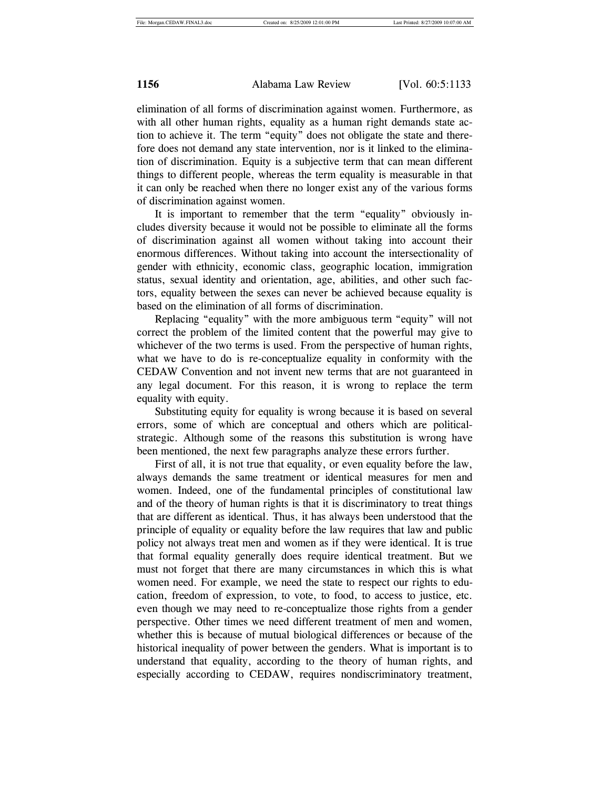elimination of all forms of discrimination against women. Furthermore, as with all other human rights, equality as a human right demands state action to achieve it. The term "equity" does not obligate the state and therefore does not demand any state intervention, nor is it linked to the elimination of discrimination. Equity is a subjective term that can mean different things to different people, whereas the term equality is measurable in that it can only be reached when there no longer exist any of the various forms of discrimination against women.

It is important to remember that the term "equality" obviously includes diversity because it would not be possible to eliminate all the forms of discrimination against all women without taking into account their enormous differences. Without taking into account the intersectionality of gender with ethnicity, economic class, geographic location, immigration status, sexual identity and orientation, age, abilities, and other such factors, equality between the sexes can never be achieved because equality is based on the elimination of all forms of discrimination.

Replacing "equality" with the more ambiguous term "equity" will not correct the problem of the limited content that the powerful may give to whichever of the two terms is used. From the perspective of human rights, what we have to do is re-conceptualize equality in conformity with the CEDAW Convention and not invent new terms that are not guaranteed in any legal document. For this reason, it is wrong to replace the term equality with equity.

Substituting equity for equality is wrong because it is based on several errors, some of which are conceptual and others which are politicalstrategic. Although some of the reasons this substitution is wrong have been mentioned, the next few paragraphs analyze these errors further.

First of all, it is not true that equality, or even equality before the law, always demands the same treatment or identical measures for men and women. Indeed, one of the fundamental principles of constitutional law and of the theory of human rights is that it is discriminatory to treat things that are different as identical. Thus, it has always been understood that the principle of equality or equality before the law requires that law and public policy not always treat men and women as if they were identical. It is true that formal equality generally does require identical treatment. But we must not forget that there are many circumstances in which this is what women need. For example, we need the state to respect our rights to education, freedom of expression, to vote, to food, to access to justice, etc. even though we may need to re-conceptualize those rights from a gender perspective. Other times we need different treatment of men and women, whether this is because of mutual biological differences or because of the historical inequality of power between the genders. What is important is to understand that equality, according to the theory of human rights, and especially according to CEDAW, requires nondiscriminatory treatment,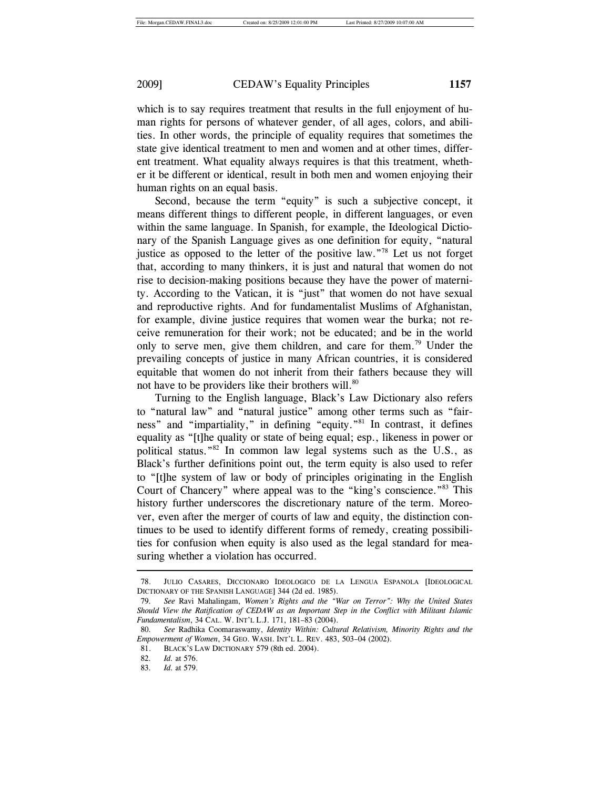which is to say requires treatment that results in the full enjoyment of human rights for persons of whatever gender, of all ages, colors, and abilities. In other words, the principle of equality requires that sometimes the state give identical treatment to men and women and at other times, different treatment. What equality always requires is that this treatment, whether it be different or identical, result in both men and women enjoying their human rights on an equal basis.

Second, because the term "equity" is such a subjective concept, it means different things to different people, in different languages, or even within the same language. In Spanish, for example, the Ideological Dictionary of the Spanish Language gives as one definition for equity, "natural justice as opposed to the letter of the positive law."78 Let us not forget that, according to many thinkers, it is just and natural that women do not rise to decision-making positions because they have the power of maternity. According to the Vatican, it is "just" that women do not have sexual and reproductive rights. And for fundamentalist Muslims of Afghanistan, for example, divine justice requires that women wear the burka; not receive remuneration for their work; not be educated; and be in the world only to serve men, give them children, and care for them.<sup>79</sup> Under the prevailing concepts of justice in many African countries, it is considered equitable that women do not inherit from their fathers because they will not have to be providers like their brothers will.<sup>80</sup>

Turning to the English language, Black's Law Dictionary also refers to "natural law" and "natural justice" among other terms such as "fairness" and "impartiality," in defining "equity."81 In contrast, it defines equality as "[t]he quality or state of being equal; esp., likeness in power or political status."82 In common law legal systems such as the U.S., as Black's further definitions point out, the term equity is also used to refer to "[t]he system of law or body of principles originating in the English Court of Chancery" where appeal was to the "king's conscience."83 This history further underscores the discretionary nature of the term. Moreover, even after the merger of courts of law and equity, the distinction continues to be used to identify different forms of remedy, creating possibilities for confusion when equity is also used as the legal standard for measuring whether a violation has occurred. l

 <sup>78.</sup> JULIO CASARES, DICCIONARO IDEOLOGICO DE LA LENGUA ESPANOLA [IDEOLOGICAL DICTIONARY OF THE SPANISH LANGUAGE] 344 (2d ed. 1985).

 <sup>79</sup>*. See* Ravi Mahalingam, *Women's Rights and the "War on Terror": Why the United States Should View the Ratification of CEDAW as an Important Step in the Conflict with Militant Islamic Fundamentalism*, 34 CAL. W. INT'L L.J. 171, 181–83 (2004).

 <sup>80</sup>*. See* Radhika Coomaraswamy, *Identity Within: Cultural Relativism, Minority Rights and the Empowerment of Women*, 34 GEO. WASH. INT'L L. REV. 483, 503–04 (2002).

 <sup>81.</sup> BLACK'S LAW DICTIONARY 579 (8th ed. 2004).

 <sup>82</sup>*. Id.* at 576.

 <sup>83</sup>*. Id.* at 579.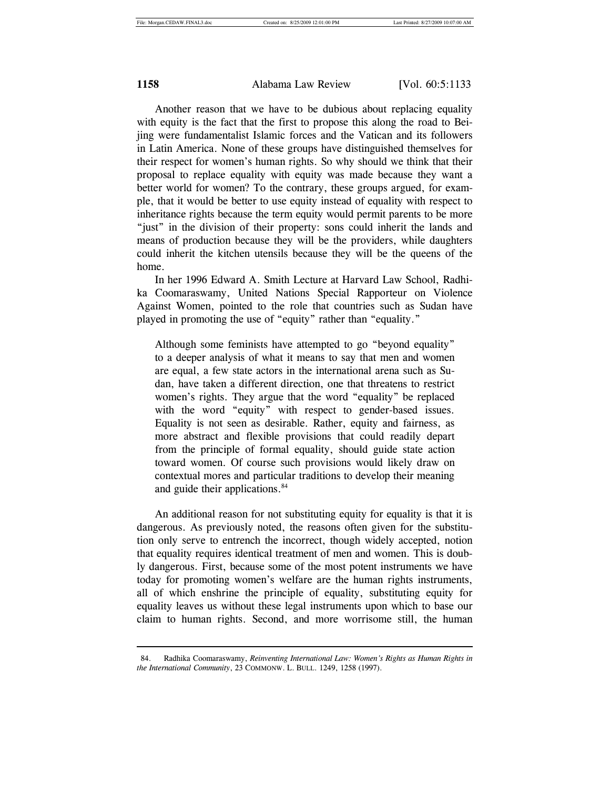# **1158** Alabama Law Review [Vol. 60:5:1133

Another reason that we have to be dubious about replacing equality with equity is the fact that the first to propose this along the road to Beijing were fundamentalist Islamic forces and the Vatican and its followers in Latin America. None of these groups have distinguished themselves for their respect for women's human rights. So why should we think that their proposal to replace equality with equity was made because they want a better world for women? To the contrary, these groups argued, for example, that it would be better to use equity instead of equality with respect to inheritance rights because the term equity would permit parents to be more "just" in the division of their property: sons could inherit the lands and means of production because they will be the providers, while daughters could inherit the kitchen utensils because they will be the queens of the home.

In her 1996 Edward A. Smith Lecture at Harvard Law School, Radhika Coomaraswamy, United Nations Special Rapporteur on Violence Against Women, pointed to the role that countries such as Sudan have played in promoting the use of "equity" rather than "equality."

Although some feminists have attempted to go "beyond equality" to a deeper analysis of what it means to say that men and women are equal, a few state actors in the international arena such as Sudan, have taken a different direction, one that threatens to restrict women's rights. They argue that the word "equality" be replaced with the word "equity" with respect to gender-based issues. Equality is not seen as desirable. Rather, equity and fairness, as more abstract and flexible provisions that could readily depart from the principle of formal equality, should guide state action toward women. Of course such provisions would likely draw on contextual mores and particular traditions to develop their meaning and guide their applications.<sup>84</sup>

An additional reason for not substituting equity for equality is that it is dangerous. As previously noted, the reasons often given for the substitution only serve to entrench the incorrect, though widely accepted, notion that equality requires identical treatment of men and women. This is doubly dangerous. First, because some of the most potent instruments we have today for promoting women's welfare are the human rights instruments, all of which enshrine the principle of equality, substituting equity for equality leaves us without these legal instruments upon which to base our claim to human rights. Second, and more worrisome still, the human

 <sup>84.</sup> Radhika Coomaraswamy, *Reinventing International Law: Women's Rights as Human Rights in the International Community*, 23 COMMONW. L. BULL. 1249, 1258 (1997).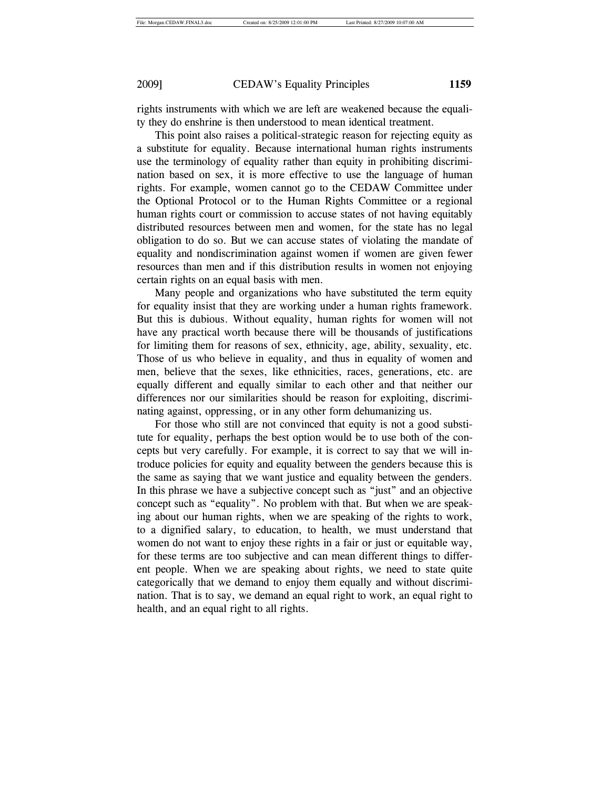rights instruments with which we are left are weakened because the equality they do enshrine is then understood to mean identical treatment.

This point also raises a political-strategic reason for rejecting equity as a substitute for equality. Because international human rights instruments use the terminology of equality rather than equity in prohibiting discrimination based on sex, it is more effective to use the language of human rights. For example, women cannot go to the CEDAW Committee under the Optional Protocol or to the Human Rights Committee or a regional human rights court or commission to accuse states of not having equitably distributed resources between men and women, for the state has no legal obligation to do so. But we can accuse states of violating the mandate of equality and nondiscrimination against women if women are given fewer resources than men and if this distribution results in women not enjoying certain rights on an equal basis with men.

Many people and organizations who have substituted the term equity for equality insist that they are working under a human rights framework. But this is dubious. Without equality, human rights for women will not have any practical worth because there will be thousands of justifications for limiting them for reasons of sex, ethnicity, age, ability, sexuality, etc. Those of us who believe in equality, and thus in equality of women and men, believe that the sexes, like ethnicities, races, generations, etc. are equally different and equally similar to each other and that neither our differences nor our similarities should be reason for exploiting, discriminating against, oppressing, or in any other form dehumanizing us.

For those who still are not convinced that equity is not a good substitute for equality, perhaps the best option would be to use both of the concepts but very carefully. For example, it is correct to say that we will introduce policies for equity and equality between the genders because this is the same as saying that we want justice and equality between the genders. In this phrase we have a subjective concept such as "just" and an objective concept such as "equality". No problem with that. But when we are speaking about our human rights, when we are speaking of the rights to work, to a dignified salary, to education, to health, we must understand that women do not want to enjoy these rights in a fair or just or equitable way, for these terms are too subjective and can mean different things to different people. When we are speaking about rights, we need to state quite categorically that we demand to enjoy them equally and without discrimination. That is to say, we demand an equal right to work, an equal right to health, and an equal right to all rights.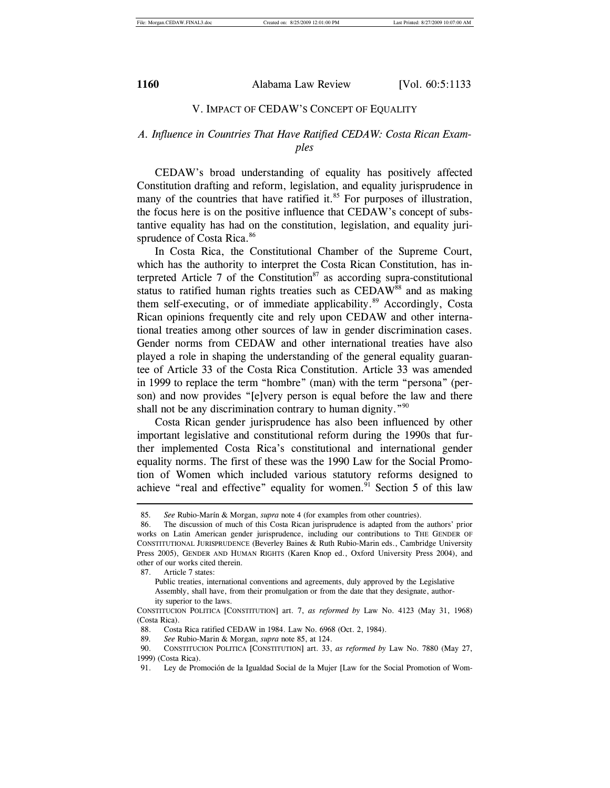# V. IMPACT OF CEDAW'S CONCEPT OF EQUALITY

# *A. Influence in Countries That Have Ratified CEDAW: Costa Rican Examples*

CEDAW's broad understanding of equality has positively affected Constitution drafting and reform, legislation, and equality jurisprudence in many of the countries that have ratified it. $85$  For purposes of illustration, the focus here is on the positive influence that CEDAW's concept of substantive equality has had on the constitution, legislation, and equality jurisprudence of Costa Rica.<sup>86</sup>

In Costa Rica, the Constitutional Chamber of the Supreme Court, which has the authority to interpret the Costa Rican Constitution, has interpreted Article 7 of the Constitution<sup>87</sup> as according supra-constitutional status to ratified human rights treaties such as  $\text{CEDAW}^{\bar{8}8}$  and as making them self-executing, or of immediate applicability.<sup>89</sup> Accordingly, Costa Rican opinions frequently cite and rely upon CEDAW and other international treaties among other sources of law in gender discrimination cases. Gender norms from CEDAW and other international treaties have also played a role in shaping the understanding of the general equality guarantee of Article 33 of the Costa Rica Constitution. Article 33 was amended in 1999 to replace the term "hombre" (man) with the term "persona" (person) and now provides "[e]very person is equal before the law and there shall not be any discrimination contrary to human dignity. $"$ <sup>90</sup>

Costa Rican gender jurisprudence has also been influenced by other important legislative and constitutional reform during the 1990s that further implemented Costa Rica's constitutional and international gender equality norms. The first of these was the 1990 Law for the Social Promotion of Women which included various statutory reforms designed to achieve "real and effective" equality for women. $91$  Section 5 of this law

87. Article 7 states:

 <sup>85</sup>*. See* Rubio-Marín & Morgan, *supra* note 4 (for examples from other countries).

 <sup>86.</sup> The discussion of much of this Costa Rican jurisprudence is adapted from the authors' prior works on Latin American gender jurisprudence, including our contributions to THE GENDER OF CONSTITUTIONAL JURISPRUDENCE (Beverley Baines & Ruth Rubio-Marin eds., Cambridge University Press 2005), GENDER AND HUMAN RIGHTS (Karen Knop ed., Oxford University Press 2004), and other of our works cited therein.

Public treaties, international conventions and agreements, duly approved by the Legislative Assembly, shall have, from their promulgation or from the date that they designate, authority superior to the laws.

CONSTITUCION POLITICA [CONSTITUTION] art. 7, *as reformed by* Law No. 4123 (May 31, 1968) (Costa Rica).

 <sup>88.</sup> Costa Rica ratified CEDAW in 1984. Law No. 6968 (Oct. 2, 1984).

 <sup>89</sup>*. See* Rubio-Marin & Morgan, *supra* note 85, at 124.

 <sup>90.</sup> CONSTITUCION POLITICA [CONSTITUTION] art. 33, *as reformed by* Law No. 7880 (May 27, 1999) (Costa Rica).

 <sup>91.</sup> Ley de Promoción de la Igualdad Social de la Mujer [Law for the Social Promotion of Wom-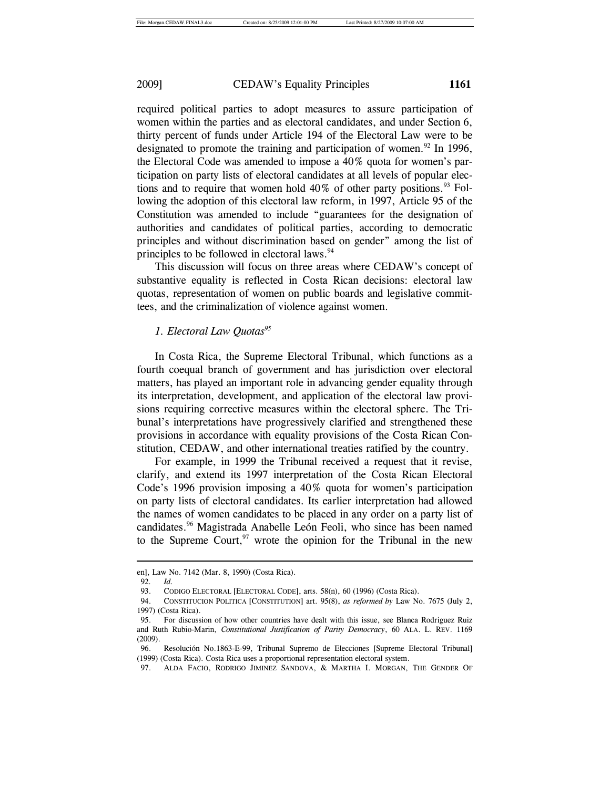required political parties to adopt measures to assure participation of women within the parties and as electoral candidates, and under Section 6, thirty percent of funds under Article 194 of the Electoral Law were to be designated to promote the training and participation of women. $92$  In 1996, the Electoral Code was amended to impose a 40% quota for women's participation on party lists of electoral candidates at all levels of popular elections and to require that women hold  $40\%$  of other party positions. <sup>93</sup> Following the adoption of this electoral law reform, in 1997, Article 95 of the Constitution was amended to include "guarantees for the designation of authorities and candidates of political parties, according to democratic principles and without discrimination based on gender" among the list of principles to be followed in electoral laws.<sup>94</sup>

This discussion will focus on three areas where CEDAW's concept of substantive equality is reflected in Costa Rican decisions: electoral law quotas, representation of women on public boards and legislative committees, and the criminalization of violence against women.

# *1. Electoral Law Quotas95*

In Costa Rica, the Supreme Electoral Tribunal, which functions as a fourth coequal branch of government and has jurisdiction over electoral matters, has played an important role in advancing gender equality through its interpretation, development, and application of the electoral law provisions requiring corrective measures within the electoral sphere. The Tribunal's interpretations have progressively clarified and strengthened these provisions in accordance with equality provisions of the Costa Rican Constitution, CEDAW, and other international treaties ratified by the country.

For example, in 1999 the Tribunal received a request that it revise, clarify, and extend its 1997 interpretation of the Costa Rican Electoral Code's 1996 provision imposing a 40% quota for women's participation on party lists of electoral candidates. Its earlier interpretation had allowed the names of women candidates to be placed in any order on a party list of candidates.<sup>96</sup> Magistrada Anabelle León Feoli, who since has been named to the Supreme Court,  $97$  wrote the opinion for the Tribunal in the new

en], Law No. 7142 (Mar. 8, 1990) (Costa Rica).

 <sup>92</sup>*. Id.*

 <sup>93.</sup> CODIGO ELECTORAL [ELECTORAL CODE], arts. 58(n), 60 (1996) (Costa Rica).

 <sup>94.</sup> CONSTITUCION POLITICA [CONSTITUTION] art. 95(8), *as reformed by* Law No. 7675 (July 2, 1997) (Costa Rica).

 <sup>95.</sup> For discussion of how other countries have dealt with this issue, see Blanca Rodriguez Ruiz and Ruth Rubio-Marin, *Constitutional Justification of Parity Democracy*, 60 ALA. L. REV. 1169 (2009).

 <sup>96.</sup> Resolución No.1863-E-99, Tribunal Supremo de Elecciones [Supreme Electoral Tribunal] (1999) (Costa Rica). Costa Rica uses a proportional representation electoral system.

 <sup>97.</sup> ALDA FACIO, RODRIGO JIMINEZ SANDOVA, & MARTHA I. MORGAN, THE GENDER OF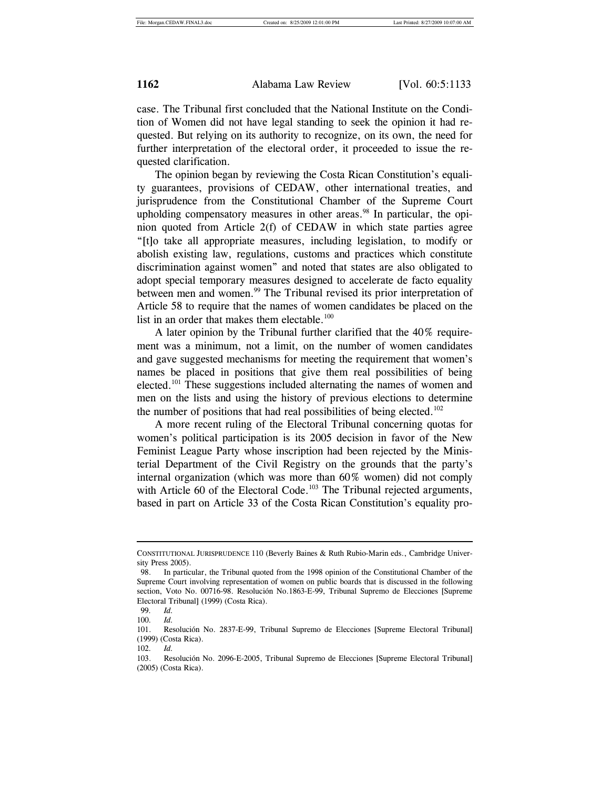case. The Tribunal first concluded that the National Institute on the Condition of Women did not have legal standing to seek the opinion it had requested. But relying on its authority to recognize, on its own, the need for further interpretation of the electoral order, it proceeded to issue the requested clarification.

The opinion began by reviewing the Costa Rican Constitution's equality guarantees, provisions of CEDAW, other international treaties, and jurisprudence from the Constitutional Chamber of the Supreme Court upholding compensatory measures in other areas.<sup>98</sup> In particular, the opinion quoted from Article 2(f) of CEDAW in which state parties agree "[t]o take all appropriate measures, including legislation, to modify or abolish existing law, regulations, customs and practices which constitute discrimination against women" and noted that states are also obligated to adopt special temporary measures designed to accelerate de facto equality between men and women.<sup>99</sup> The Tribunal revised its prior interpretation of Article 58 to require that the names of women candidates be placed on the list in an order that makes them electable.<sup>100</sup>

A later opinion by the Tribunal further clarified that the 40% requirement was a minimum, not a limit, on the number of women candidates and gave suggested mechanisms for meeting the requirement that women's names be placed in positions that give them real possibilities of being elected.101 These suggestions included alternating the names of women and men on the lists and using the history of previous elections to determine the number of positions that had real possibilities of being elected.<sup>102</sup>

A more recent ruling of the Electoral Tribunal concerning quotas for women's political participation is its 2005 decision in favor of the New Feminist League Party whose inscription had been rejected by the Ministerial Department of the Civil Registry on the grounds that the party's internal organization (which was more than 60% women) did not comply with Article 60 of the Electoral Code.<sup>103</sup> The Tribunal rejected arguments, based in part on Article 33 of the Costa Rican Constitution's equality pro-

CONSTITUTIONAL JURISPRUDENCE 110 (Beverly Baines & Ruth Rubio-Marin eds., Cambridge University Press 2005).

 <sup>98.</sup> In particular, the Tribunal quoted from the 1998 opinion of the Constitutional Chamber of the Supreme Court involving representation of women on public boards that is discussed in the following section, Voto No. 00716-98. Resolución No.1863-E-99, Tribunal Supremo de Elecciones [Supreme Electoral Tribunal] (1999) (Costa Rica).

 <sup>99</sup>*. Id.*  100*. Id.* 

<sup>101.</sup> Resolución No. 2837-E-99, Tribunal Supremo de Elecciones [Supreme Electoral Tribunal] (1999) (Costa Rica).

<sup>102</sup>*. Id.*

<sup>103.</sup> Resolución No. 2096-E-2005, Tribunal Supremo de Elecciones [Supreme Electoral Tribunal] (2005) (Costa Rica).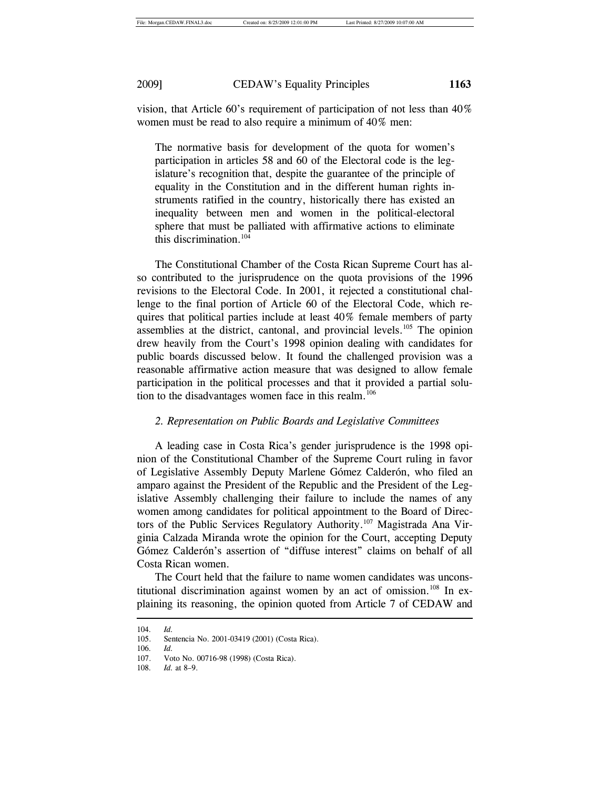vision, that Article 60's requirement of participation of not less than 40% women must be read to also require a minimum of 40% men:

The normative basis for development of the quota for women's participation in articles 58 and 60 of the Electoral code is the legislature's recognition that, despite the guarantee of the principle of equality in the Constitution and in the different human rights instruments ratified in the country, historically there has existed an inequality between men and women in the political-electoral sphere that must be palliated with affirmative actions to eliminate this discrimination.<sup>104</sup>

The Constitutional Chamber of the Costa Rican Supreme Court has also contributed to the jurisprudence on the quota provisions of the 1996 revisions to the Electoral Code. In 2001, it rejected a constitutional challenge to the final portion of Article 60 of the Electoral Code, which requires that political parties include at least 40% female members of party assemblies at the district, cantonal, and provincial levels.<sup>105</sup> The opinion drew heavily from the Court's 1998 opinion dealing with candidates for public boards discussed below. It found the challenged provision was a reasonable affirmative action measure that was designed to allow female participation in the political processes and that it provided a partial solution to the disadvantages women face in this realm.<sup>106</sup>

# *2. Representation on Public Boards and Legislative Committees*

A leading case in Costa Rica's gender jurisprudence is the 1998 opinion of the Constitutional Chamber of the Supreme Court ruling in favor of Legislative Assembly Deputy Marlene Gómez Calderón, who filed an amparo against the President of the Republic and the President of the Legislative Assembly challenging their failure to include the names of any women among candidates for political appointment to the Board of Directors of the Public Services Regulatory Authority.<sup>107</sup> Magistrada Ana Virginia Calzada Miranda wrote the opinion for the Court, accepting Deputy Gómez Calderón's assertion of "diffuse interest" claims on behalf of all Costa Rican women.

The Court held that the failure to name women candidates was unconstitutional discrimination against women by an act of omission.<sup>108</sup> In explaining its reasoning, the opinion quoted from Article 7 of CEDAW and  $\overline{a}$ 

<sup>104</sup>*. Id.* 

Sentencia No. 2001-03419 (2001) (Costa Rica).

<sup>106</sup>*. Id.* 

<sup>107.</sup> Voto No. 00716-98 (1998) (Costa Rica).

<sup>108</sup>*. Id.* at 8–9.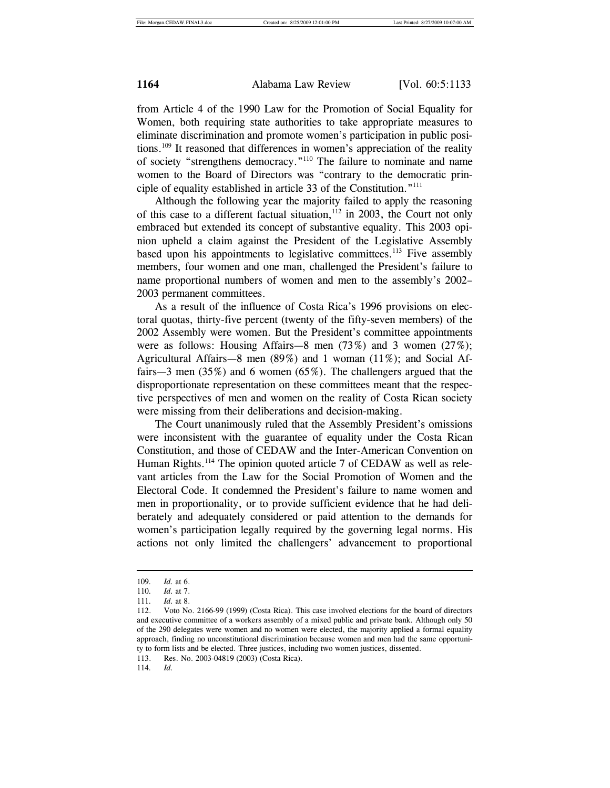from Article 4 of the 1990 Law for the Promotion of Social Equality for Women, both requiring state authorities to take appropriate measures to eliminate discrimination and promote women's participation in public positions.109 It reasoned that differences in women's appreciation of the reality of society "strengthens democracy."110 The failure to nominate and name women to the Board of Directors was "contrary to the democratic principle of equality established in article 33 of the Constitution."111

Although the following year the majority failed to apply the reasoning of this case to a different factual situation,  $112$  in 2003, the Court not only embraced but extended its concept of substantive equality. This 2003 opinion upheld a claim against the President of the Legislative Assembly based upon his appointments to legislative committees.<sup>113</sup> Five assembly members, four women and one man, challenged the President's failure to name proportional numbers of women and men to the assembly's 2002– 2003 permanent committees.

As a result of the influence of Costa Rica's 1996 provisions on electoral quotas, thirty-five percent (twenty of the fifty-seven members) of the 2002 Assembly were women. But the President's committee appointments were as follows: Housing Affairs—8 men (73%) and 3 women (27%); Agricultural Affairs—8 men (89%) and 1 woman (11%); and Social Affairs—3 men (35%) and 6 women (65%). The challengers argued that the disproportionate representation on these committees meant that the respective perspectives of men and women on the reality of Costa Rican society were missing from their deliberations and decision-making.

The Court unanimously ruled that the Assembly President's omissions were inconsistent with the guarantee of equality under the Costa Rican Constitution, and those of CEDAW and the Inter-American Convention on Human Rights.<sup>114</sup> The opinion quoted article 7 of CEDAW as well as relevant articles from the Law for the Social Promotion of Women and the Electoral Code. It condemned the President's failure to name women and men in proportionality, or to provide sufficient evidence that he had deliberately and adequately considered or paid attention to the demands for women's participation legally required by the governing legal norms. His actions not only limited the challengers' advancement to proportional

l

114*. Id.* 

<sup>109</sup>*. Id.* at 6.

<sup>110</sup>*. Id.* at 7.

<sup>111</sup>*. Id.* at 8.

<sup>112.</sup> Voto No. 2166-99 (1999) (Costa Rica). This case involved elections for the board of directors and executive committee of a workers assembly of a mixed public and private bank. Although only 50 of the 290 delegates were women and no women were elected, the majority applied a formal equality approach, finding no unconstitutional discrimination because women and men had the same opportunity to form lists and be elected. Three justices, including two women justices, dissented.

<sup>113.</sup> Res. No. 2003-04819 (2003) (Costa Rica).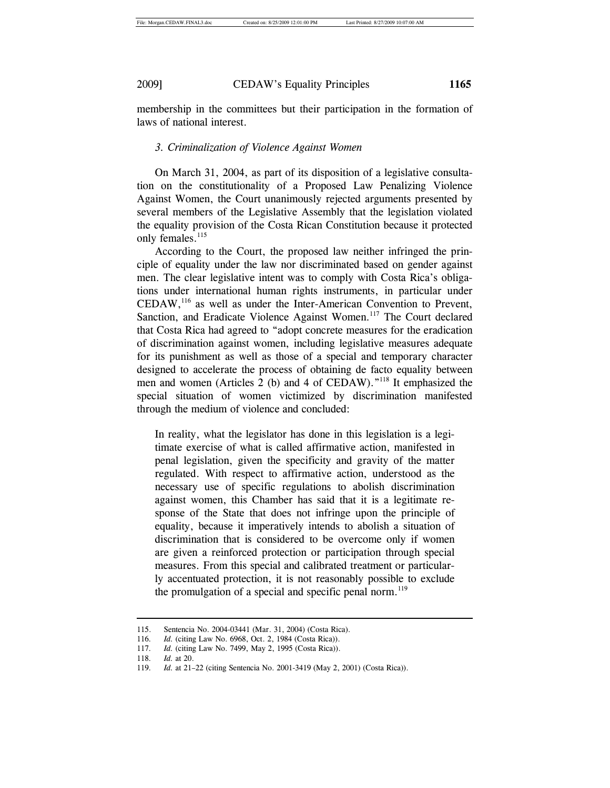membership in the committees but their participation in the formation of laws of national interest.

# *3. Criminalization of Violence Against Women*

On March 31, 2004, as part of its disposition of a legislative consultation on the constitutionality of a Proposed Law Penalizing Violence Against Women, the Court unanimously rejected arguments presented by several members of the Legislative Assembly that the legislation violated the equality provision of the Costa Rican Constitution because it protected only females.<sup>115</sup>

According to the Court, the proposed law neither infringed the principle of equality under the law nor discriminated based on gender against men. The clear legislative intent was to comply with Costa Rica's obligations under international human rights instruments, in particular under CEDAW,116 as well as under the Inter-American Convention to Prevent, Sanction, and Eradicate Violence Against Women.<sup>117</sup> The Court declared that Costa Rica had agreed to "adopt concrete measures for the eradication of discrimination against women, including legislative measures adequate for its punishment as well as those of a special and temporary character designed to accelerate the process of obtaining de facto equality between men and women (Articles 2 (b) and 4 of CEDAW)."118 It emphasized the special situation of women victimized by discrimination manifested through the medium of violence and concluded:

In reality, what the legislator has done in this legislation is a legitimate exercise of what is called affirmative action, manifested in penal legislation, given the specificity and gravity of the matter regulated. With respect to affirmative action, understood as the necessary use of specific regulations to abolish discrimination against women, this Chamber has said that it is a legitimate response of the State that does not infringe upon the principle of equality, because it imperatively intends to abolish a situation of discrimination that is considered to be overcome only if women are given a reinforced protection or participation through special measures. From this special and calibrated treatment or particularly accentuated protection, it is not reasonably possible to exclude the promulgation of a special and specific penal norm.<sup>119</sup>

l

<sup>115.</sup> Sentencia No. 2004-03441 (Mar. 31, 2004) (Costa Rica).

<sup>116</sup>*. Id.* (citing Law No. 6968, Oct. 2, 1984 (Costa Rica)).

<sup>117</sup>*. Id.* (citing Law No. 7499, May 2, 1995 (Costa Rica)).

<sup>118</sup>*. Id.* at 20.

<sup>119</sup>*. Id.* at 21–22 (citing Sentencia No. 2001-3419 (May 2, 2001) (Costa Rica)).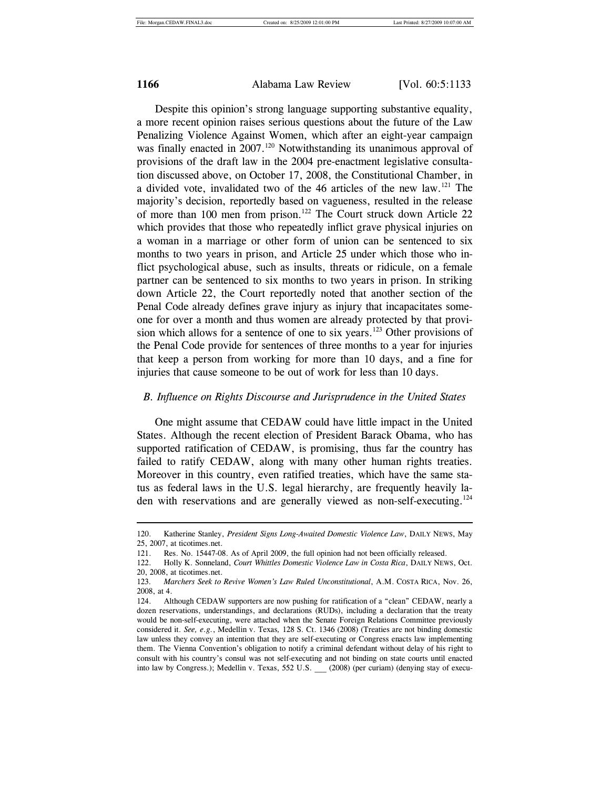# **1166** Alabama Law Review [Vol. 60:5:1133

Despite this opinion's strong language supporting substantive equality, a more recent opinion raises serious questions about the future of the Law Penalizing Violence Against Women, which after an eight-year campaign was finally enacted in 2007.<sup>120</sup> Notwithstanding its unanimous approval of provisions of the draft law in the 2004 pre-enactment legislative consultation discussed above, on October 17, 2008, the Constitutional Chamber, in a divided vote, invalidated two of the 46 articles of the new law.121 The majority's decision, reportedly based on vagueness, resulted in the release of more than 100 men from prison.122 The Court struck down Article 22 which provides that those who repeatedly inflict grave physical injuries on a woman in a marriage or other form of union can be sentenced to six months to two years in prison, and Article 25 under which those who inflict psychological abuse, such as insults, threats or ridicule, on a female partner can be sentenced to six months to two years in prison. In striking down Article 22, the Court reportedly noted that another section of the Penal Code already defines grave injury as injury that incapacitates someone for over a month and thus women are already protected by that provision which allows for a sentence of one to six years.<sup>123</sup> Other provisions of the Penal Code provide for sentences of three months to a year for injuries that keep a person from working for more than 10 days, and a fine for injuries that cause someone to be out of work for less than 10 days.

### *B. Influence on Rights Discourse and Jurisprudence in the United States*

One might assume that CEDAW could have little impact in the United States. Although the recent election of President Barack Obama, who has supported ratification of CEDAW, is promising, thus far the country has failed to ratify CEDAW, along with many other human rights treaties. Moreover in this country, even ratified treaties, which have the same status as federal laws in the U.S. legal hierarchy, are frequently heavily laden with reservations and are generally viewed as non-self-executing.<sup>124</sup>

<sup>120.</sup> Katherine Stanley, *President Signs Long-Awaited Domestic Violence Law*, DAILY NEWS, May 25, 2007, at ticotimes.net.

<sup>121.</sup> Res. No. 15447-08. As of April 2009, the full opinion had not been officially released.

<sup>122.</sup> Holly K. Sonneland, *Court Whittles Domestic Violence Law in Costa Rica*, DAILY NEWS, Oct. 20, 2008, at ticotimes.net.

<sup>123</sup>*. Marchers Seek to Revive Women's Law Ruled Unconstitutional*, A.M. COSTA RICA, Nov. 26, 2008, at 4.

<sup>124.</sup> Although CEDAW supporters are now pushing for ratification of a "clean" CEDAW, nearly a dozen reservations, understandings, and declarations (RUDs), including a declaration that the treaty would be non-self-executing, were attached when the Senate Foreign Relations Committee previously considered it. *See, e.g.*, Medellin v. Texas*,* 128 S. Ct. 1346 (2008) (Treaties are not binding domestic law unless they convey an intention that they are self-executing or Congress enacts law implementing them. The Vienna Convention's obligation to notify a criminal defendant without delay of his right to consult with his country's consul was not self-executing and not binding on state courts until enacted into law by Congress.); Medellin v. Texas, 552 U.S. \_\_\_ (2008) (per curiam) (denying stay of execu-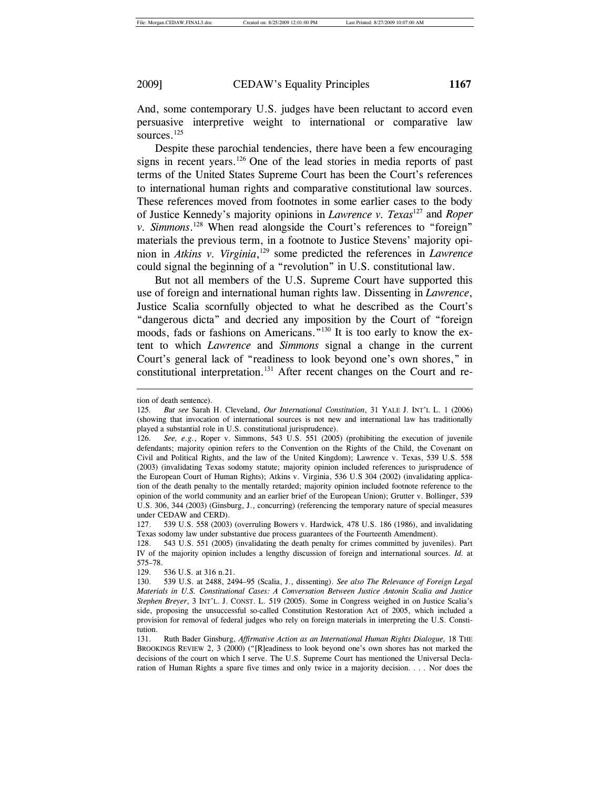And, some contemporary U.S. judges have been reluctant to accord even persuasive interpretive weight to international or comparative law sources.<sup>125</sup>

Despite these parochial tendencies, there have been a few encouraging signs in recent years.<sup>126</sup> One of the lead stories in media reports of past terms of the United States Supreme Court has been the Court's references to international human rights and comparative constitutional law sources. These references moved from footnotes in some earlier cases to the body of Justice Kennedy's majority opinions in *Lawrence v. Texas*127 and *Roper v. Simmons*. 128 When read alongside the Court's references to "foreign" materials the previous term, in a footnote to Justice Stevens' majority opinion in *Atkins v. Virginia*, 129 some predicted the references in *Lawrence* could signal the beginning of a "revolution" in U.S. constitutional law.

But not all members of the U.S. Supreme Court have supported this use of foreign and international human rights law. Dissenting in *Lawrence*, Justice Scalia scornfully objected to what he described as the Court's "dangerous dicta" and decried any imposition by the Court of "foreign moods, fads or fashions on Americans."<sup>130</sup> It is too early to know the extent to which *Lawrence* and *Simmons* signal a change in the current Court's general lack of "readiness to look beyond one's own shores," in constitutional interpretation.131 After recent changes on the Court and re-

tion of death sentence).

<sup>125</sup>*. But see* Sarah H. Cleveland, *Our International Constitution*, 31 YALE J. INT'L L. 1 (2006) (showing that invocation of international sources is not new and international law has traditionally played a substantial role in U.S. constitutional jurisprudence).

<sup>126</sup>*. See, e.g.*, Roper v. Simmons, 543 U.S. 551 (2005) (prohibiting the execution of juvenile defendants; majority opinion refers to the Convention on the Rights of the Child, the Covenant on Civil and Political Rights, and the law of the United Kingdom); Lawrence v. Texas, 539 U.S. 558 (2003) (invalidating Texas sodomy statute; majority opinion included references to jurisprudence of the European Court of Human Rights); Atkins v. Virginia, 536 U.S 304 (2002) (invalidating application of the death penalty to the mentally retarded; majority opinion included footnote reference to the opinion of the world community and an earlier brief of the European Union); Grutter v. Bollinger, 539 U.S. 306, 344 (2003) (Ginsburg, J., concurring) (referencing the temporary nature of special measures under CEDAW and CERD).

<sup>127. 539</sup> U.S. 558 (2003) (overruling Bowers v. Hardwick*,* 478 U.S. 186 (1986), and invalidating Texas sodomy law under substantive due process guarantees of the Fourteenth Amendment).

<sup>128. 543</sup> U.S. 551 (2005) (invalidating the death penalty for crimes committed by juveniles). Part IV of the majority opinion includes a lengthy discussion of foreign and international sources. *Id.* at 575–78.

<sup>129. 536</sup> U.S. at 316 n.21.

<sup>130. 539</sup> U.S. at 2488, 2494–95 (Scalia, J., dissenting). *See also The Relevance of Foreign Legal Materials in U.S. Constitutional Cases: A Conversation Between Justice Antonin Scalia and Justice Stephen Breyer*, 3 INT'L. J. CONST. L. 519 (2005). Some in Congress weighed in on Justice Scalia's side, proposing the unsuccessful so-called Constitution Restoration Act of 2005, which included a provision for removal of federal judges who rely on foreign materials in interpreting the U.S. Constitution.

<sup>131.</sup> Ruth Bader Ginsburg, *Affirmative Action as an International Human Rights Dialogue,* 18 THE BROOKINGS REVIEW 2, 3 (2000) ("[R]eadiness to look beyond one's own shores has not marked the decisions of the court on which I serve. The U.S. Supreme Court has mentioned the Universal Declaration of Human Rights a spare five times and only twice in a majority decision. . . . Nor does the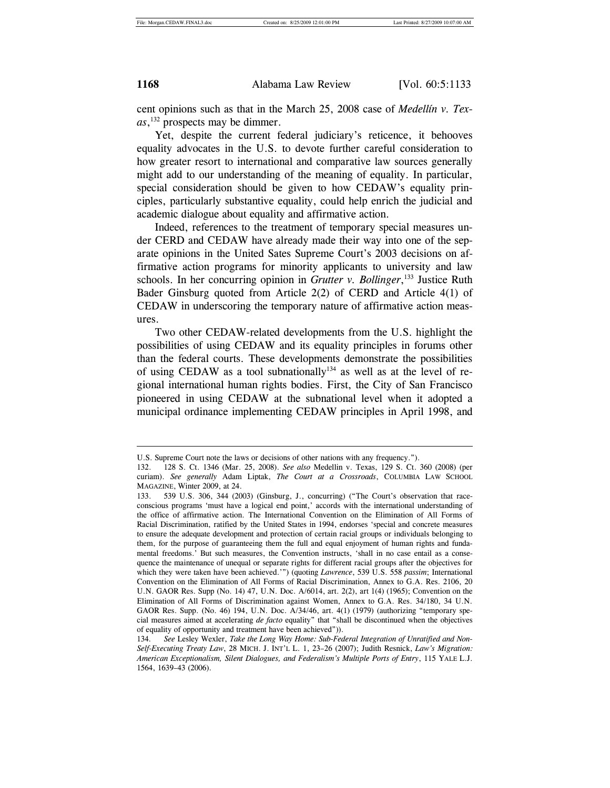**1168** Alabama Law Review [Vol. 60:5:1133

cent opinions such as that in the March 25, 2008 case of *Medellín v. Texas*, 132 prospects may be dimmer.

Yet, despite the current federal judiciary's reticence, it behooves equality advocates in the U.S. to devote further careful consideration to how greater resort to international and comparative law sources generally might add to our understanding of the meaning of equality. In particular, special consideration should be given to how CEDAW's equality principles, particularly substantive equality, could help enrich the judicial and academic dialogue about equality and affirmative action.

Indeed, references to the treatment of temporary special measures under CERD and CEDAW have already made their way into one of the separate opinions in the United Sates Supreme Court's 2003 decisions on affirmative action programs for minority applicants to university and law schools. In her concurring opinion in *Grutter v. Bollinger*, 133 Justice Ruth Bader Ginsburg quoted from Article 2(2) of CERD and Article 4(1) of CEDAW in underscoring the temporary nature of affirmative action measures.

Two other CEDAW-related developments from the U.S. highlight the possibilities of using CEDAW and its equality principles in forums other than the federal courts. These developments demonstrate the possibilities of using CEDAW as a tool subnationally<sup>134</sup> as well as at the level of regional international human rights bodies. First, the City of San Francisco pioneered in using CEDAW at the subnational level when it adopted a municipal ordinance implementing CEDAW principles in April 1998, and

U.S. Supreme Court note the laws or decisions of other nations with any frequency.").

<sup>132. 128</sup> S. Ct. 1346 (Mar. 25, 2008). *See also* Medellin v. Texas, 129 S. Ct. 360 (2008) (per curiam). *See generally* Adam Liptak, *The Court at a Crossroads*, COLUMBIA LAW SCHOOL MAGAZINE, Winter 2009, at 24.

<sup>133. 539</sup> U.S. 306, 344 (2003) (Ginsburg, J., concurring) ("The Court's observation that raceconscious programs 'must have a logical end point,' accords with the international understanding of the office of affirmative action. The International Convention on the Elimination of All Forms of Racial Discrimination, ratified by the United States in 1994, endorses 'special and concrete measures to ensure the adequate development and protection of certain racial groups or individuals belonging to them, for the purpose of guaranteeing them the full and equal enjoyment of human rights and fundamental freedoms.' But such measures, the Convention instructs, 'shall in no case entail as a consequence the maintenance of unequal or separate rights for different racial groups after the objectives for which they were taken have been achieved.'") (quoting *Lawrence*, 539 U.S. 558 *passim*; International Convention on the Elimination of All Forms of Racial Discrimination, Annex to G.A. Res. 2106, 20 U.N. GAOR Res. Supp (No. 14) 47, U.N. Doc. A/6014, art. 2(2), art 1(4) (1965); Convention on the Elimination of All Forms of Discrimination against Women, Annex to G.A. Res. 34/180, 34 U.N. GAOR Res. Supp. (No. 46) 194, U.N. Doc. A/34/46, art. 4(1) (1979) (authorizing "temporary special measures aimed at accelerating *de facto* equality" that "shall be discontinued when the objectives of equality of opportunity and treatment have been achieved")).

<sup>134</sup>*. See* Lesley Wexler, *Take the Long Way Home: Sub-Federal Integration of Unratified and Non-Self-Executing Treaty Law*, 28 MICH. J. INT'L L. 1, 23–26 (2007); Judith Resnick, *Law's Migration: American Exceptionalism, Silent Dialogues, and Federalism's Multiple Ports of Entry*, 115 YALE L.J. 1564, 1639–43 (2006).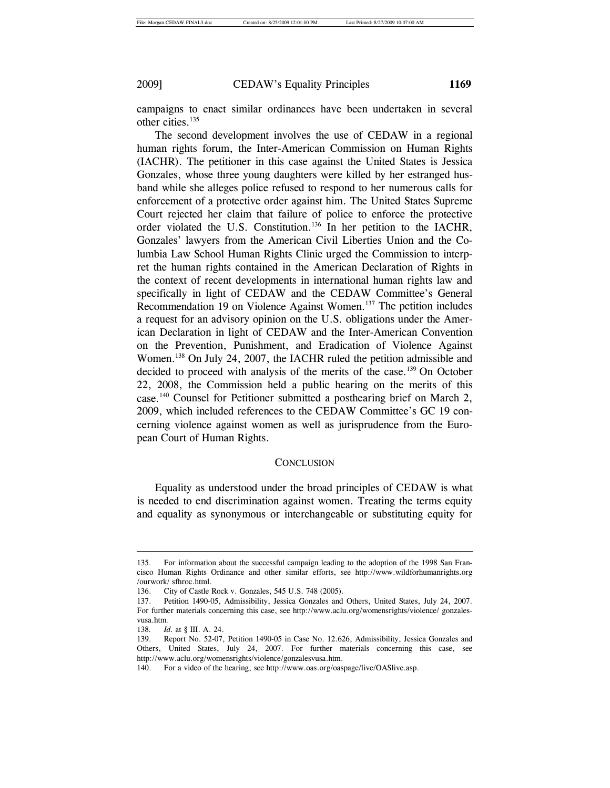campaigns to enact similar ordinances have been undertaken in several other cities.<sup>135</sup>

The second development involves the use of CEDAW in a regional human rights forum, the Inter-American Commission on Human Rights (IACHR). The petitioner in this case against the United States is Jessica Gonzales, whose three young daughters were killed by her estranged husband while she alleges police refused to respond to her numerous calls for enforcement of a protective order against him. The United States Supreme Court rejected her claim that failure of police to enforce the protective order violated the U.S. Constitution.<sup>136</sup> In her petition to the IACHR, Gonzales' lawyers from the American Civil Liberties Union and the Columbia Law School Human Rights Clinic urged the Commission to interpret the human rights contained in the American Declaration of Rights in the context of recent developments in international human rights law and specifically in light of CEDAW and the CEDAW Committee's General Recommendation 19 on Violence Against Women.<sup>137</sup> The petition includes a request for an advisory opinion on the U.S. obligations under the American Declaration in light of CEDAW and the Inter-American Convention on the Prevention, Punishment, and Eradication of Violence Against Women.<sup>138</sup> On July 24, 2007, the IACHR ruled the petition admissible and decided to proceed with analysis of the merits of the case.<sup>139</sup> On October 22, 2008, the Commission held a public hearing on the merits of this case.140 Counsel for Petitioner submitted a posthearing brief on March 2, 2009, which included references to the CEDAW Committee's GC 19 concerning violence against women as well as jurisprudence from the European Court of Human Rights.

### **CONCLUSION**

Equality as understood under the broad principles of CEDAW is what is needed to end discrimination against women. Treating the terms equity and equality as synonymous or interchangeable or substituting equity for

l

<sup>135.</sup> For information about the successful campaign leading to the adoption of the 1998 San Francisco Human Rights Ordinance and other similar efforts, see http://www.wildforhumanrights.org /ourwork/ sfhroc.html.

<sup>136.</sup> City of Castle Rock v. Gonzales, 545 U.S. 748 (2005).

<sup>137.</sup> Petition 1490-05, Admissibility, Jessica Gonzales and Others, United States, July 24, 2007. For further materials concerning this case, see http://www.aclu.org/womensrights/violence/ gonzalesvusa.htm.

<sup>138</sup>*. Id.* at § III. A. 24.

<sup>139.</sup> Report No. 52-07, Petition 1490-05 in Case No. 12.626, Admissibility, Jessica Gonzales and Others, United States, July 24, 2007. For further materials concerning this case, see http://www.aclu.org/womensrights/violence/gonzalesvusa.htm.

<sup>140.</sup> For a video of the hearing, see http://www.oas.org/oaspage/live/OASlive.asp.